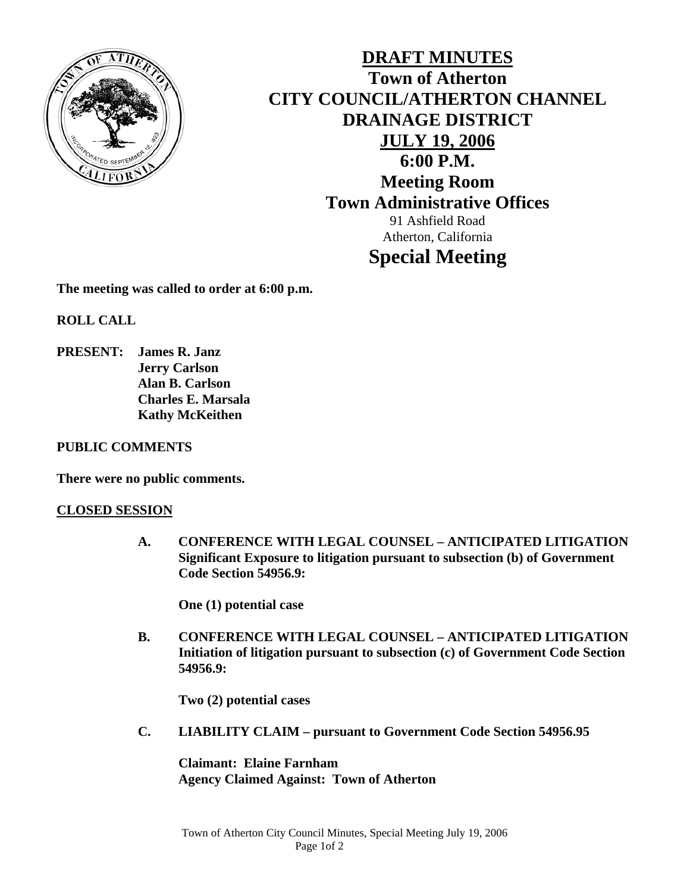

**DRAFT MINUTES Town of Atherton CITY COUNCIL/ATHERTON CHANNEL DRAINAGE DISTRICT JULY 19, 2006 6:00 P.M. Meeting Room Town Administrative Offices**  91 Ashfield Road Atherton, California

# **Special Meeting**

**The meeting was called to order at 6:00 p.m.** 

**ROLL CALL** 

**PRESENT: James R. Janz Jerry Carlson Alan B. Carlson Charles E. Marsala Kathy McKeithen** 

## **PUBLIC COMMENTS**

**There were no public comments.** 

## **CLOSED SESSION**

 **A. CONFERENCE WITH LEGAL COUNSEL – ANTICIPATED LITIGATION Significant Exposure to litigation pursuant to subsection (b) of Government Code Section 54956.9:** 

**One (1) potential case** 

 **B. CONFERENCE WITH LEGAL COUNSEL – ANTICIPATED LITIGATION Initiation of litigation pursuant to subsection (c) of Government Code Section 54956.9:** 

**Two (2) potential cases** 

**C. LIABILITY CLAIM – pursuant to Government Code Section 54956.95** 

**Claimant: Elaine Farnham Agency Claimed Against: Town of Atherton**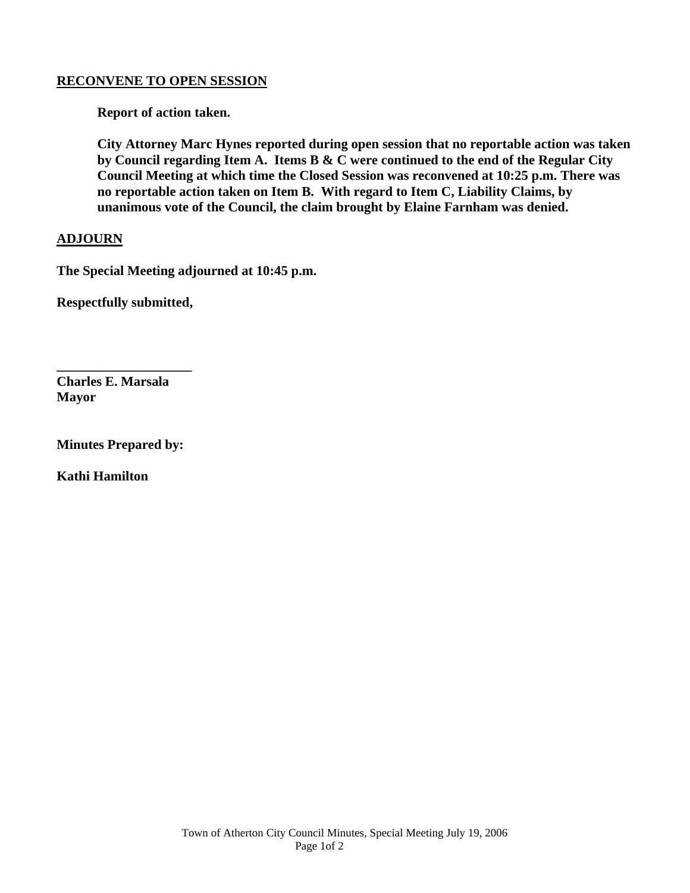#### **RECONVENE TO OPEN SESSION**

 **Report of action taken.** 

 **City Attorney Marc Hynes reported during open session that no reportable action was taken by Council regarding Item A. Items B & C were continued to the end of the Regular City Council Meeting at which time the Closed Session was reconvened at 10:25 p.m. There was no reportable action taken on Item B. With regard to Item C, Liability Claims, by unanimous vote of the Council, the claim brought by Elaine Farnham was denied.** 

#### **ADJOURN**

**The Special Meeting adjourned at 10:45 p.m.** 

**Respectfully submitted,** 

**\_\_\_\_\_\_\_\_\_\_\_\_\_\_\_\_\_\_\_\_** 

**Charles E. Marsala Mayor** 

**Minutes Prepared by:** 

**Kathi Hamilton**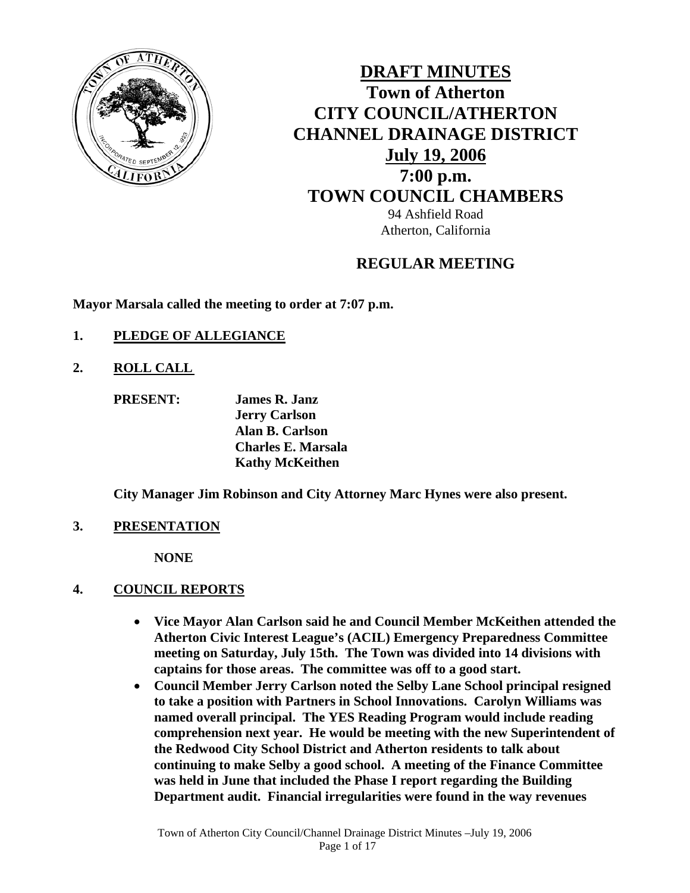

**DRAFT MINUTES Town of Atherton CITY COUNCIL/ATHERTON CHANNEL DRAINAGE DISTRICT July 19, 2006 7:00 p.m. TOWN COUNCIL CHAMBERS** 94 Ashfield Road

Atherton, California

## **REGULAR MEETING**

**Mayor Marsala called the meeting to order at 7:07 p.m.** 

- **1. PLEDGE OF ALLEGIANCE**
- **2. ROLL CALL** 
	- **PRESENT: James R. Janz Jerry Carlson Alan B. Carlson Charles E. Marsala Kathy McKeithen**

**City Manager Jim Robinson and City Attorney Marc Hynes were also present.** 

**3. PRESENTATION**

 **NONE** 

## **4. COUNCIL REPORTS**

- **Vice Mayor Alan Carlson said he and Council Member McKeithen attended the Atherton Civic Interest League's (ACIL) Emergency Preparedness Committee meeting on Saturday, July 15th. The Town was divided into 14 divisions with captains for those areas. The committee was off to a good start.**
- **Council Member Jerry Carlson noted the Selby Lane School principal resigned to take a position with Partners in School Innovations. Carolyn Williams was named overall principal. The YES Reading Program would include reading comprehension next year. He would be meeting with the new Superintendent of the Redwood City School District and Atherton residents to talk about continuing to make Selby a good school. A meeting of the Finance Committee was held in June that included the Phase I report regarding the Building Department audit. Financial irregularities were found in the way revenues**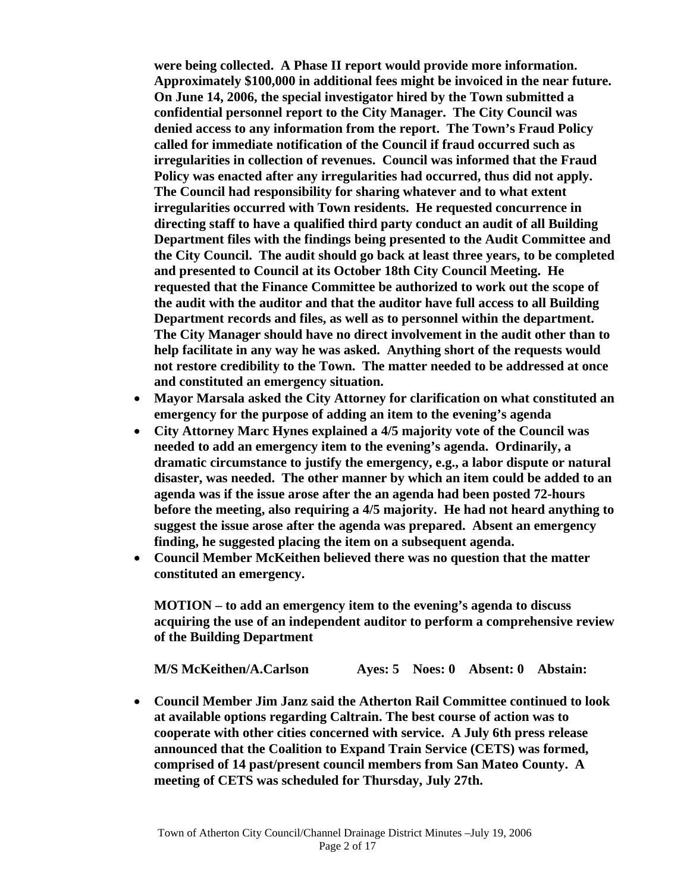**were being collected. A Phase II report would provide more information. Approximately \$100,000 in additional fees might be invoiced in the near future. On June 14, 2006, the special investigator hired by the Town submitted a confidential personnel report to the City Manager. The City Council was denied access to any information from the report. The Town's Fraud Policy called for immediate notification of the Council if fraud occurred such as irregularities in collection of revenues. Council was informed that the Fraud Policy was enacted after any irregularities had occurred, thus did not apply. The Council had responsibility for sharing whatever and to what extent irregularities occurred with Town residents. He requested concurrence in directing staff to have a qualified third party conduct an audit of all Building Department files with the findings being presented to the Audit Committee and the City Council. The audit should go back at least three years, to be completed and presented to Council at its October 18th City Council Meeting. He requested that the Finance Committee be authorized to work out the scope of the audit with the auditor and that the auditor have full access to all Building Department records and files, as well as to personnel within the department. The City Manager should have no direct involvement in the audit other than to help facilitate in any way he was asked. Anything short of the requests would not restore credibility to the Town. The matter needed to be addressed at once and constituted an emergency situation.** 

- **Mayor Marsala asked the City Attorney for clarification on what constituted an emergency for the purpose of adding an item to the evening's agenda**
- **City Attorney Marc Hynes explained a 4/5 majority vote of the Council was needed to add an emergency item to the evening's agenda. Ordinarily, a dramatic circumstance to justify the emergency, e.g., a labor dispute or natural disaster, was needed. The other manner by which an item could be added to an agenda was if the issue arose after the an agenda had been posted 72-hours before the meeting, also requiring a 4/5 majority. He had not heard anything to suggest the issue arose after the agenda was prepared. Absent an emergency finding, he suggested placing the item on a subsequent agenda.**
- **Council Member McKeithen believed there was no question that the matter constituted an emergency.**

**MOTION – to add an emergency item to the evening's agenda to discuss acquiring the use of an independent auditor to perform a comprehensive review of the Building Department** 

 **M/S McKeithen/A.Carlson Ayes: 5 Noes: 0 Absent: 0 Abstain:** 

• **Council Member Jim Janz said the Atherton Rail Committee continued to look at available options regarding Caltrain. The best course of action was to cooperate with other cities concerned with service. A July 6th press release announced that the Coalition to Expand Train Service (CETS) was formed, comprised of 14 past/present council members from San Mateo County. A meeting of CETS was scheduled for Thursday, July 27th.**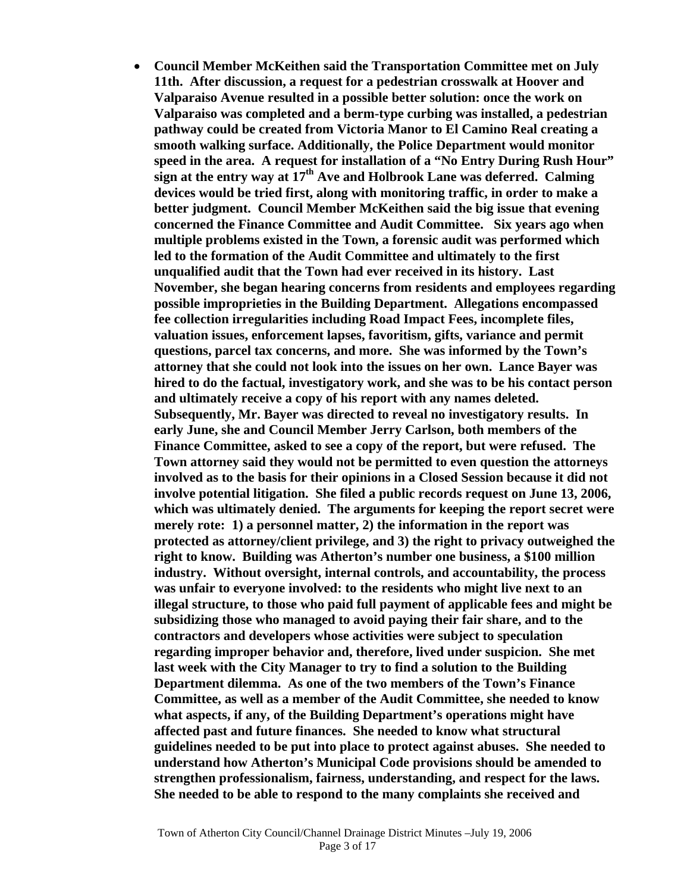• **Council Member McKeithen said the Transportation Committee met on July 11th. After discussion, a request for a pedestrian crosswalk at Hoover and Valparaiso Avenue resulted in a possible better solution: once the work on Valparaiso was completed and a berm-type curbing was installed, a pedestrian pathway could be created from Victoria Manor to El Camino Real creating a smooth walking surface. Additionally, the Police Department would monitor speed in the area. A request for installation of a "No Entry During Rush Hour" sign at the entry way at 17th Ave and Holbrook Lane was deferred. Calming devices would be tried first, along with monitoring traffic, in order to make a better judgment. Council Member McKeithen said the big issue that evening concerned the Finance Committee and Audit Committee. Six years ago when multiple problems existed in the Town, a forensic audit was performed which led to the formation of the Audit Committee and ultimately to the first unqualified audit that the Town had ever received in its history. Last November, she began hearing concerns from residents and employees regarding possible improprieties in the Building Department. Allegations encompassed fee collection irregularities including Road Impact Fees, incomplete files, valuation issues, enforcement lapses, favoritism, gifts, variance and permit questions, parcel tax concerns, and more. She was informed by the Town's attorney that she could not look into the issues on her own. Lance Bayer was hired to do the factual, investigatory work, and she was to be his contact person and ultimately receive a copy of his report with any names deleted. Subsequently, Mr. Bayer was directed to reveal no investigatory results. In early June, she and Council Member Jerry Carlson, both members of the Finance Committee, asked to see a copy of the report, but were refused. The Town attorney said they would not be permitted to even question the attorneys involved as to the basis for their opinions in a Closed Session because it did not involve potential litigation. She filed a public records request on June 13, 2006, which was ultimately denied. The arguments for keeping the report secret were merely rote: 1) a personnel matter, 2) the information in the report was protected as attorney/client privilege, and 3) the right to privacy outweighed the right to know. Building was Atherton's number one business, a \$100 million industry. Without oversight, internal controls, and accountability, the process was unfair to everyone involved: to the residents who might live next to an illegal structure, to those who paid full payment of applicable fees and might be subsidizing those who managed to avoid paying their fair share, and to the contractors and developers whose activities were subject to speculation regarding improper behavior and, therefore, lived under suspicion. She met last week with the City Manager to try to find a solution to the Building Department dilemma. As one of the two members of the Town's Finance Committee, as well as a member of the Audit Committee, she needed to know what aspects, if any, of the Building Department's operations might have affected past and future finances. She needed to know what structural guidelines needed to be put into place to protect against abuses. She needed to understand how Atherton's Municipal Code provisions should be amended to strengthen professionalism, fairness, understanding, and respect for the laws. She needed to be able to respond to the many complaints she received and**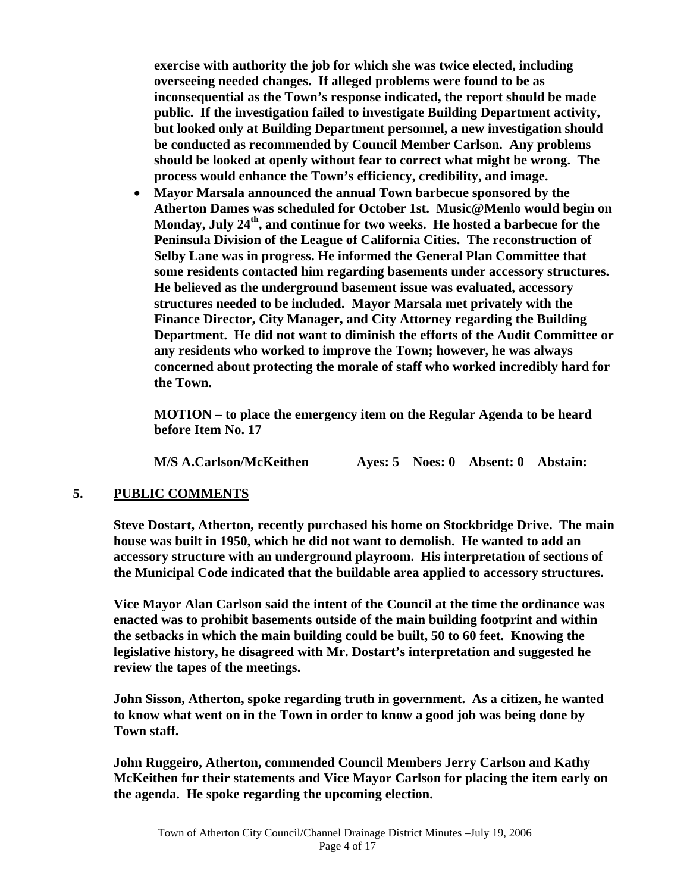**exercise with authority the job for which she was twice elected, including overseeing needed changes. If alleged problems were found to be as inconsequential as the Town's response indicated, the report should be made public. If the investigation failed to investigate Building Department activity, but looked only at Building Department personnel, a new investigation should be conducted as recommended by Council Member Carlson. Any problems should be looked at openly without fear to correct what might be wrong. The process would enhance the Town's efficiency, credibility, and image.** 

• **Mayor Marsala announced the annual Town barbecue sponsored by the Atherton Dames was scheduled for October 1st. Music@Menlo would begin on**  Monday, July 24<sup>th</sup>, and continue for two weeks. He hosted a barbecue for the **Peninsula Division of the League of California Cities. The reconstruction of Selby Lane was in progress. He informed the General Plan Committee that some residents contacted him regarding basements under accessory structures. He believed as the underground basement issue was evaluated, accessory structures needed to be included. Mayor Marsala met privately with the Finance Director, City Manager, and City Attorney regarding the Building Department. He did not want to diminish the efforts of the Audit Committee or any residents who worked to improve the Town; however, he was always concerned about protecting the morale of staff who worked incredibly hard for the Town.** 

**MOTION – to place the emergency item on the Regular Agenda to be heard before Item No. 17** 

 **M/S A.Carlson/McKeithen Ayes: 5 Noes: 0 Absent: 0 Abstain:** 

## **5. PUBLIC COMMENTS**

 **Steve Dostart, Atherton, recently purchased his home on Stockbridge Drive. The main house was built in 1950, which he did not want to demolish. He wanted to add an accessory structure with an underground playroom. His interpretation of sections of the Municipal Code indicated that the buildable area applied to accessory structures.** 

 **Vice Mayor Alan Carlson said the intent of the Council at the time the ordinance was enacted was to prohibit basements outside of the main building footprint and within the setbacks in which the main building could be built, 50 to 60 feet. Knowing the legislative history, he disagreed with Mr. Dostart's interpretation and suggested he review the tapes of the meetings.** 

 **John Sisson, Atherton, spoke regarding truth in government. As a citizen, he wanted to know what went on in the Town in order to know a good job was being done by Town staff.** 

 **John Ruggeiro, Atherton, commended Council Members Jerry Carlson and Kathy McKeithen for their statements and Vice Mayor Carlson for placing the item early on the agenda. He spoke regarding the upcoming election.**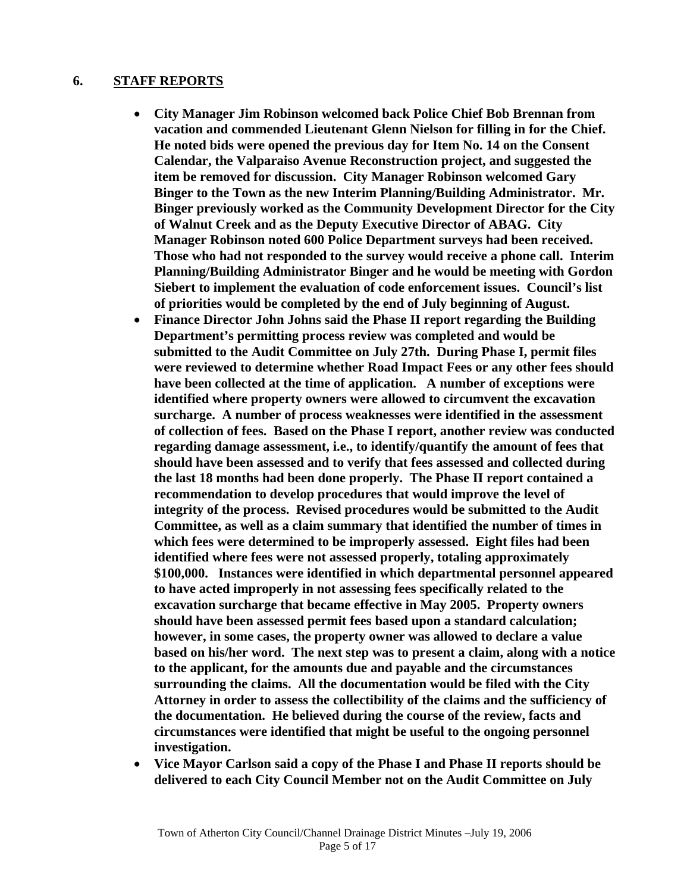#### **6. STAFF REPORTS**

- **City Manager Jim Robinson welcomed back Police Chief Bob Brennan from vacation and commended Lieutenant Glenn Nielson for filling in for the Chief. He noted bids were opened the previous day for Item No. 14 on the Consent Calendar, the Valparaiso Avenue Reconstruction project, and suggested the item be removed for discussion. City Manager Robinson welcomed Gary Binger to the Town as the new Interim Planning/Building Administrator. Mr. Binger previously worked as the Community Development Director for the City of Walnut Creek and as the Deputy Executive Director of ABAG. City Manager Robinson noted 600 Police Department surveys had been received. Those who had not responded to the survey would receive a phone call. Interim Planning/Building Administrator Binger and he would be meeting with Gordon Siebert to implement the evaluation of code enforcement issues. Council's list of priorities would be completed by the end of July beginning of August.**
- **Finance Director John Johns said the Phase II report regarding the Building Department's permitting process review was completed and would be submitted to the Audit Committee on July 27th. During Phase I, permit files were reviewed to determine whether Road Impact Fees or any other fees should have been collected at the time of application. A number of exceptions were identified where property owners were allowed to circumvent the excavation surcharge. A number of process weaknesses were identified in the assessment of collection of fees. Based on the Phase I report, another review was conducted regarding damage assessment, i.e., to identify/quantify the amount of fees that should have been assessed and to verify that fees assessed and collected during the last 18 months had been done properly. The Phase II report contained a recommendation to develop procedures that would improve the level of integrity of the process. Revised procedures would be submitted to the Audit Committee, as well as a claim summary that identified the number of times in which fees were determined to be improperly assessed. Eight files had been identified where fees were not assessed properly, totaling approximately \$100,000. Instances were identified in which departmental personnel appeared to have acted improperly in not assessing fees specifically related to the excavation surcharge that became effective in May 2005. Property owners should have been assessed permit fees based upon a standard calculation; however, in some cases, the property owner was allowed to declare a value based on his/her word. The next step was to present a claim, along with a notice to the applicant, for the amounts due and payable and the circumstances surrounding the claims. All the documentation would be filed with the City Attorney in order to assess the collectibility of the claims and the sufficiency of the documentation. He believed during the course of the review, facts and circumstances were identified that might be useful to the ongoing personnel investigation.**
- **Vice Mayor Carlson said a copy of the Phase I and Phase II reports should be delivered to each City Council Member not on the Audit Committee on July**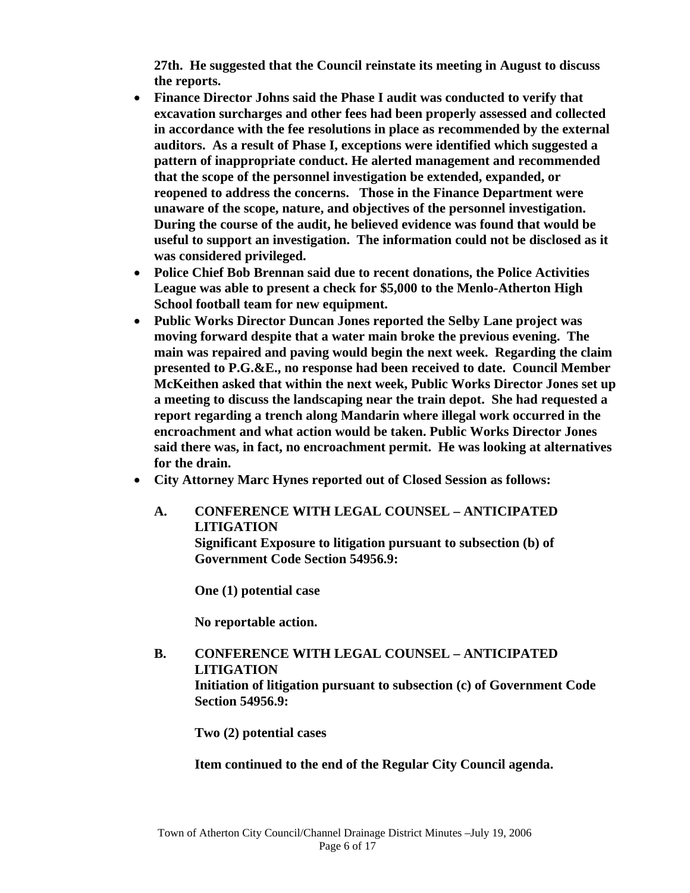**27th. He suggested that the Council reinstate its meeting in August to discuss the reports.** 

- **Finance Director Johns said the Phase I audit was conducted to verify that excavation surcharges and other fees had been properly assessed and collected in accordance with the fee resolutions in place as recommended by the external auditors. As a result of Phase I, exceptions were identified which suggested a pattern of inappropriate conduct. He alerted management and recommended that the scope of the personnel investigation be extended, expanded, or reopened to address the concerns. Those in the Finance Department were unaware of the scope, nature, and objectives of the personnel investigation. During the course of the audit, he believed evidence was found that would be useful to support an investigation. The information could not be disclosed as it was considered privileged.**
- **Police Chief Bob Brennan said due to recent donations, the Police Activities League was able to present a check for \$5,000 to the Menlo-Atherton High School football team for new equipment.**
- **Public Works Director Duncan Jones reported the Selby Lane project was moving forward despite that a water main broke the previous evening. The main was repaired and paving would begin the next week. Regarding the claim presented to P.G.&E., no response had been received to date. Council Member McKeithen asked that within the next week, Public Works Director Jones set up a meeting to discuss the landscaping near the train depot. She had requested a report regarding a trench along Mandarin where illegal work occurred in the encroachment and what action would be taken. Public Works Director Jones said there was, in fact, no encroachment permit. He was looking at alternatives for the drain.**
- **City Attorney Marc Hynes reported out of Closed Session as follows:** 
	- **A. CONFERENCE WITH LEGAL COUNSEL ANTICIPATED LITIGATION Significant Exposure to litigation pursuant to subsection (b) of Government Code Section 54956.9:**

 **One (1) potential case** 

 **No reportable action.** 

 **B. CONFERENCE WITH LEGAL COUNSEL – ANTICIPATED LITIGATION Initiation of litigation pursuant to subsection (c) of Government Code Section 54956.9:** 

 **Two (2) potential cases** 

## **Item continued to the end of the Regular City Council agenda.**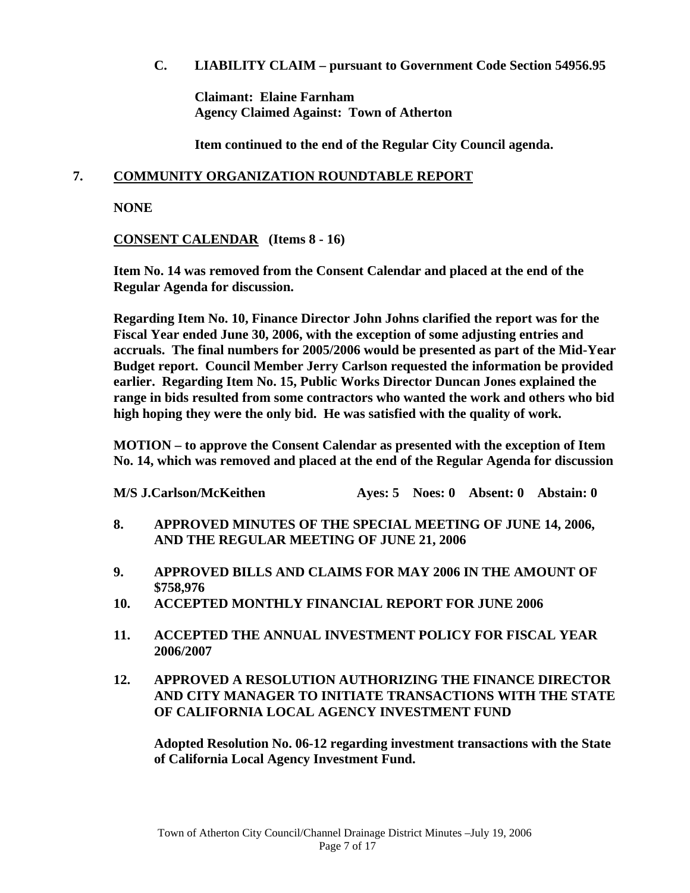## **C. LIABILITY CLAIM – pursuant to Government Code Section 54956.95**

 **Claimant: Elaine Farnham Agency Claimed Against: Town of Atherton** 

 **Item continued to the end of the Regular City Council agenda.** 

## **7. COMMUNITY ORGANIZATION ROUNDTABLE REPORT**

 **NONE** 

**CONSENT CALENDAR (Items 8 - 16)** 

 **Item No. 14 was removed from the Consent Calendar and placed at the end of the Regular Agenda for discussion.** 

 **Regarding Item No. 10, Finance Director John Johns clarified the report was for the Fiscal Year ended June 30, 2006, with the exception of some adjusting entries and accruals. The final numbers for 2005/2006 would be presented as part of the Mid-Year Budget report. Council Member Jerry Carlson requested the information be provided earlier. Regarding Item No. 15, Public Works Director Duncan Jones explained the range in bids resulted from some contractors who wanted the work and others who bid high hoping they were the only bid. He was satisfied with the quality of work.** 

 **MOTION – to approve the Consent Calendar as presented with the exception of Item No. 14, which was removed and placed at the end of the Regular Agenda for discussion** 

| <b>M/S J.Carlson/McKeithen</b> |  | Ayes: 5 Noes: 0 Absent: 0 Abstain: 0 |
|--------------------------------|--|--------------------------------------|
|                                |  |                                      |

- **8. APPROVED MINUTES OF THE SPECIAL MEETING OF JUNE 14, 2006, AND THE REGULAR MEETING OF JUNE 21, 2006**
- **9. APPROVED BILLS AND CLAIMS FOR MAY 2006 IN THE AMOUNT OF \$758,976**
- **10. ACCEPTED MONTHLY FINANCIAL REPORT FOR JUNE 2006**
- **11. ACCEPTED THE ANNUAL INVESTMENT POLICY FOR FISCAL YEAR 2006/2007**
- **12. APPROVED A RESOLUTION AUTHORIZING THE FINANCE DIRECTOR AND CITY MANAGER TO INITIATE TRANSACTIONS WITH THE STATE OF CALIFORNIA LOCAL AGENCY INVESTMENT FUND**

 **Adopted Resolution No. 06-12 regarding investment transactions with the State of California Local Agency Investment Fund.**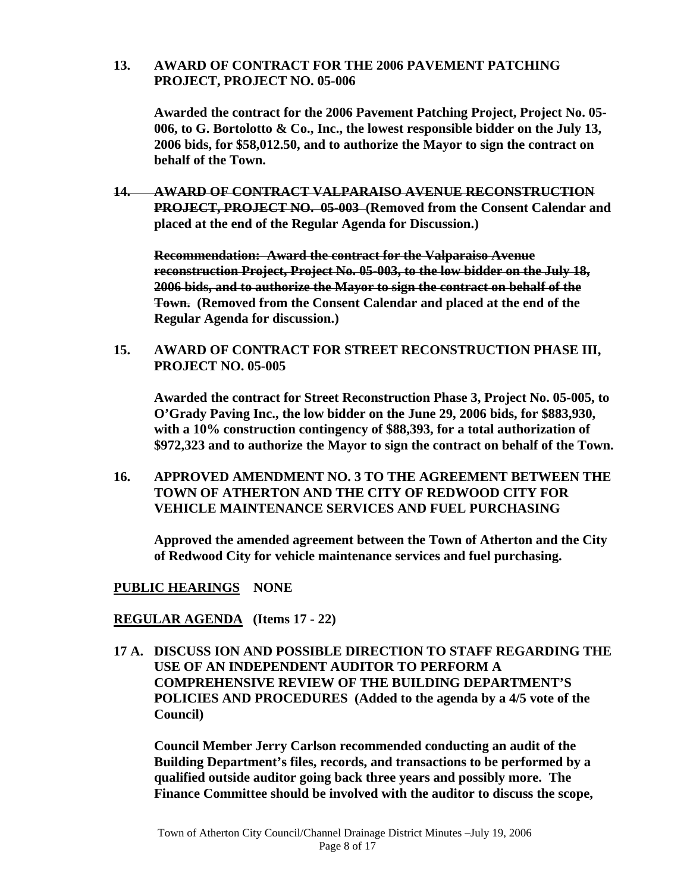#### **13. AWARD OF CONTRACT FOR THE 2006 PAVEMENT PATCHING PROJECT, PROJECT NO. 05-006**

 **Awarded the contract for the 2006 Pavement Patching Project, Project No. 05- 006, to G. Bortolotto & Co., Inc., the lowest responsible bidder on the July 13, 2006 bids, for \$58,012.50, and to authorize the Mayor to sign the contract on behalf of the Town.** 

**14. AWARD OF CONTRACT VALPARAISO AVENUE RECONSTRUCTION PROJECT, PROJECT NO. 05-003 (Removed from the Consent Calendar and placed at the end of the Regular Agenda for Discussion.)** 

 **Recommendation: Award the contract for the Valparaiso Avenue reconstruction Project, Project No. 05-003, to the low bidder on the July 18, 2006 bids, and to authorize the Mayor to sign the contract on behalf of the Town. (Removed from the Consent Calendar and placed at the end of the Regular Agenda for discussion.)**

 **15. AWARD OF CONTRACT FOR STREET RECONSTRUCTION PHASE III, PROJECT NO. 05-005** 

 **Awarded the contract for Street Reconstruction Phase 3, Project No. 05-005, to O'Grady Paving Inc., the low bidder on the June 29, 2006 bids, for \$883,930, with a 10% construction contingency of \$88,393, for a total authorization of \$972,323 and to authorize the Mayor to sign the contract on behalf of the Town.** 

 **16. APPROVED AMENDMENT NO. 3 TO THE AGREEMENT BETWEEN THE TOWN OF ATHERTON AND THE CITY OF REDWOOD CITY FOR VEHICLE MAINTENANCE SERVICES AND FUEL PURCHASING** 

 **Approved the amended agreement between the Town of Atherton and the City of Redwood City for vehicle maintenance services and fuel purchasing.** 

#### **PUBLIC HEARINGS NONE**

#### **REGULAR AGENDA (Items 17 - 22)**

 **17 A. DISCUSS ION AND POSSIBLE DIRECTION TO STAFF REGARDING THE USE OF AN INDEPENDENT AUDITOR TO PERFORM A COMPREHENSIVE REVIEW OF THE BUILDING DEPARTMENT'S POLICIES AND PROCEDURES (Added to the agenda by a 4/5 vote of the Council)** 

 **Council Member Jerry Carlson recommended conducting an audit of the Building Department's files, records, and transactions to be performed by a qualified outside auditor going back three years and possibly more. The Finance Committee should be involved with the auditor to discuss the scope,**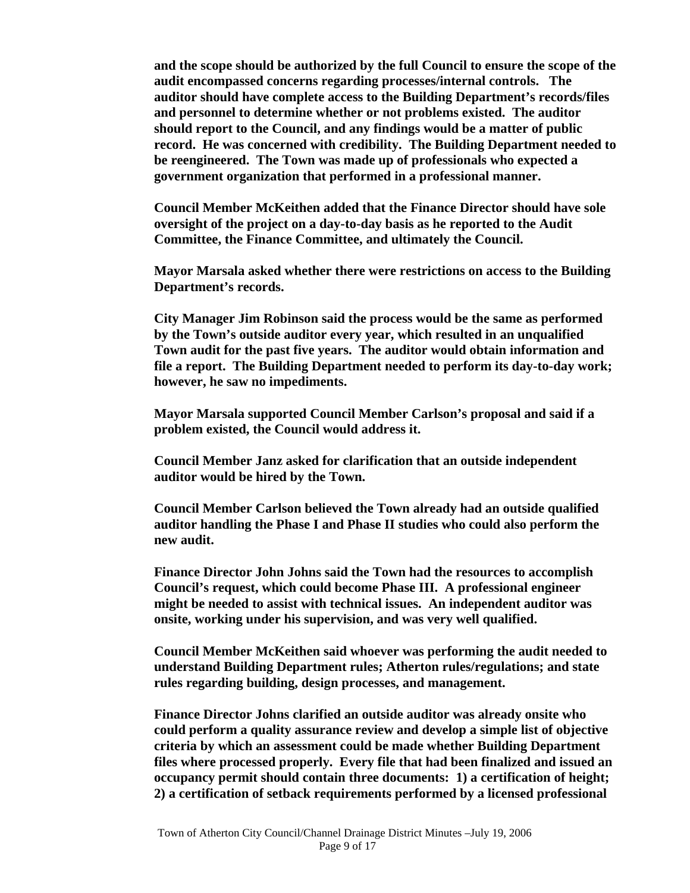**and the scope should be authorized by the full Council to ensure the scope of the audit encompassed concerns regarding processes/internal controls. The auditor should have complete access to the Building Department's records/files and personnel to determine whether or not problems existed. The auditor should report to the Council, and any findings would be a matter of public record. He was concerned with credibility. The Building Department needed to be reengineered. The Town was made up of professionals who expected a government organization that performed in a professional manner.** 

 **Council Member McKeithen added that the Finance Director should have sole oversight of the project on a day-to-day basis as he reported to the Audit Committee, the Finance Committee, and ultimately the Council.** 

 **Mayor Marsala asked whether there were restrictions on access to the Building Department's records.** 

 **City Manager Jim Robinson said the process would be the same as performed by the Town's outside auditor every year, which resulted in an unqualified Town audit for the past five years. The auditor would obtain information and file a report. The Building Department needed to perform its day-to-day work; however, he saw no impediments.** 

 **Mayor Marsala supported Council Member Carlson's proposal and said if a problem existed, the Council would address it.** 

 **Council Member Janz asked for clarification that an outside independent auditor would be hired by the Town.** 

 **Council Member Carlson believed the Town already had an outside qualified auditor handling the Phase I and Phase II studies who could also perform the new audit.** 

 **Finance Director John Johns said the Town had the resources to accomplish Council's request, which could become Phase III. A professional engineer might be needed to assist with technical issues. An independent auditor was onsite, working under his supervision, and was very well qualified.** 

 **Council Member McKeithen said whoever was performing the audit needed to understand Building Department rules; Atherton rules/regulations; and state rules regarding building, design processes, and management.** 

 **Finance Director Johns clarified an outside auditor was already onsite who could perform a quality assurance review and develop a simple list of objective criteria by which an assessment could be made whether Building Department files where processed properly. Every file that had been finalized and issued an occupancy permit should contain three documents: 1) a certification of height; 2) a certification of setback requirements performed by a licensed professional**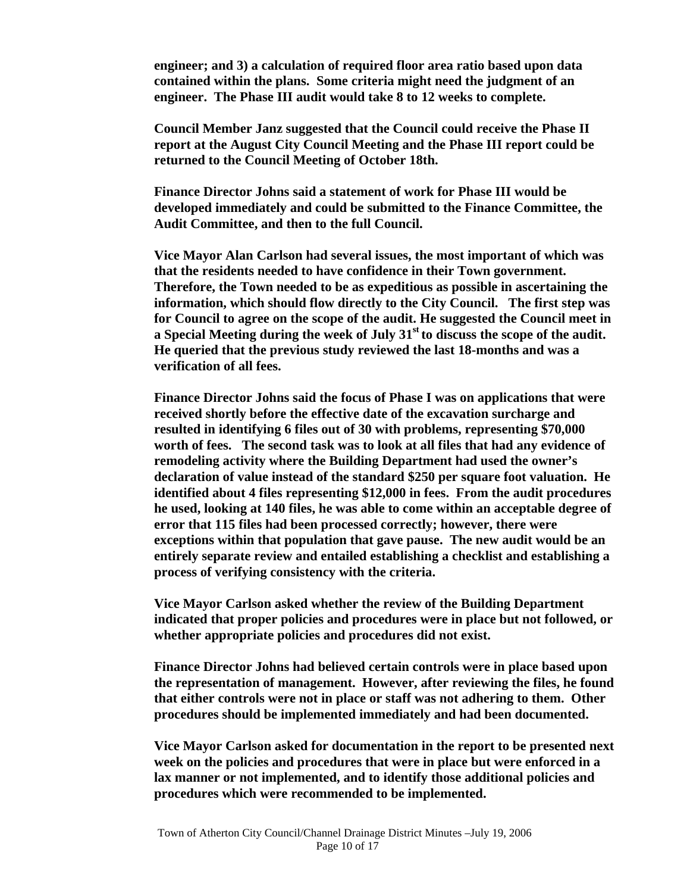**engineer; and 3) a calculation of required floor area ratio based upon data contained within the plans. Some criteria might need the judgment of an engineer. The Phase III audit would take 8 to 12 weeks to complete.** 

**Council Member Janz suggested that the Council could receive the Phase II report at the August City Council Meeting and the Phase III report could be returned to the Council Meeting of October 18th.** 

**Finance Director Johns said a statement of work for Phase III would be developed immediately and could be submitted to the Finance Committee, the Audit Committee, and then to the full Council.** 

 **Vice Mayor Alan Carlson had several issues, the most important of which was that the residents needed to have confidence in their Town government. Therefore, the Town needed to be as expeditious as possible in ascertaining the information, which should flow directly to the City Council. The first step was for Council to agree on the scope of the audit. He suggested the Council meet in a Special Meeting during the week of July 31st to discuss the scope of the audit. He queried that the previous study reviewed the last 18-months and was a verification of all fees.** 

 **Finance Director Johns said the focus of Phase I was on applications that were received shortly before the effective date of the excavation surcharge and resulted in identifying 6 files out of 30 with problems, representing \$70,000 worth of fees. The second task was to look at all files that had any evidence of remodeling activity where the Building Department had used the owner's declaration of value instead of the standard \$250 per square foot valuation. He identified about 4 files representing \$12,000 in fees. From the audit procedures he used, looking at 140 files, he was able to come within an acceptable degree of error that 115 files had been processed correctly; however, there were exceptions within that population that gave pause. The new audit would be an entirely separate review and entailed establishing a checklist and establishing a process of verifying consistency with the criteria.** 

 **Vice Mayor Carlson asked whether the review of the Building Department indicated that proper policies and procedures were in place but not followed, or whether appropriate policies and procedures did not exist.** 

 **Finance Director Johns had believed certain controls were in place based upon the representation of management. However, after reviewing the files, he found that either controls were not in place or staff was not adhering to them. Other procedures should be implemented immediately and had been documented.** 

 **Vice Mayor Carlson asked for documentation in the report to be presented next week on the policies and procedures that were in place but were enforced in a lax manner or not implemented, and to identify those additional policies and procedures which were recommended to be implemented.**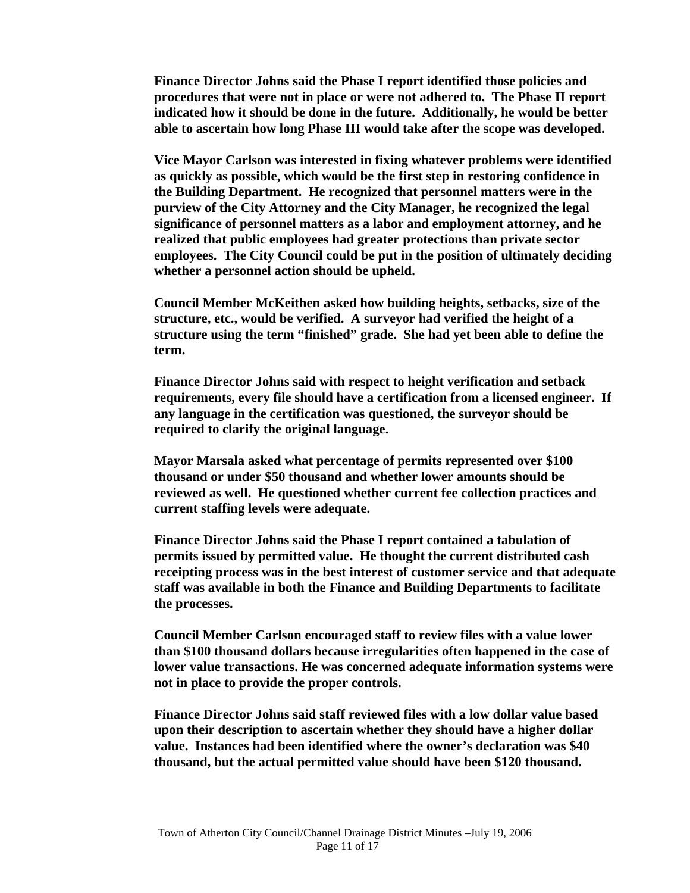**Finance Director Johns said the Phase I report identified those policies and procedures that were not in place or were not adhered to. The Phase II report indicated how it should be done in the future. Additionally, he would be better able to ascertain how long Phase III would take after the scope was developed.** 

 **Vice Mayor Carlson was interested in fixing whatever problems were identified as quickly as possible, which would be the first step in restoring confidence in the Building Department. He recognized that personnel matters were in the purview of the City Attorney and the City Manager, he recognized the legal significance of personnel matters as a labor and employment attorney, and he realized that public employees had greater protections than private sector employees. The City Council could be put in the position of ultimately deciding whether a personnel action should be upheld.** 

**Council Member McKeithen asked how building heights, setbacks, size of the structure, etc., would be verified. A surveyor had verified the height of a structure using the term "finished" grade. She had yet been able to define the term.** 

**Finance Director Johns said with respect to height verification and setback requirements, every file should have a certification from a licensed engineer. If any language in the certification was questioned, the surveyor should be required to clarify the original language.** 

**Mayor Marsala asked what percentage of permits represented over \$100 thousand or under \$50 thousand and whether lower amounts should be reviewed as well. He questioned whether current fee collection practices and current staffing levels were adequate.** 

**Finance Director Johns said the Phase I report contained a tabulation of permits issued by permitted value. He thought the current distributed cash receipting process was in the best interest of customer service and that adequate staff was available in both the Finance and Building Departments to facilitate the processes.** 

**Council Member Carlson encouraged staff to review files with a value lower than \$100 thousand dollars because irregularities often happened in the case of lower value transactions. He was concerned adequate information systems were not in place to provide the proper controls.** 

**Finance Director Johns said staff reviewed files with a low dollar value based upon their description to ascertain whether they should have a higher dollar value. Instances had been identified where the owner's declaration was \$40 thousand, but the actual permitted value should have been \$120 thousand.**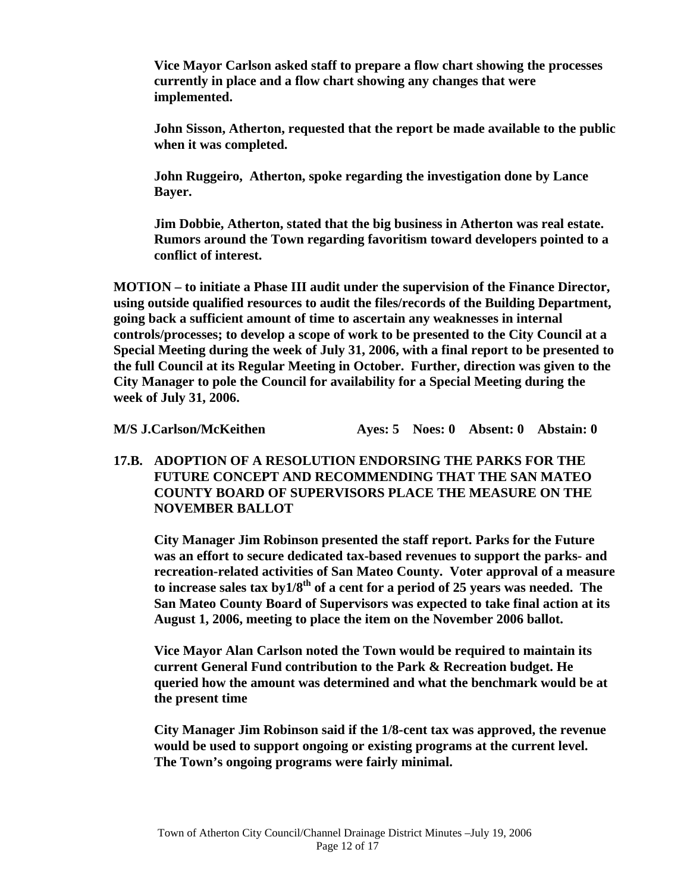**Vice Mayor Carlson asked staff to prepare a flow chart showing the processes currently in place and a flow chart showing any changes that were implemented.** 

**John Sisson, Atherton, requested that the report be made available to the public when it was completed.** 

**John Ruggeiro, Atherton, spoke regarding the investigation done by Lance Bayer.** 

**Jim Dobbie, Atherton, stated that the big business in Atherton was real estate. Rumors around the Town regarding favoritism toward developers pointed to a conflict of interest.** 

 **MOTION – to initiate a Phase III audit under the supervision of the Finance Director, using outside qualified resources to audit the files/records of the Building Department, going back a sufficient amount of time to ascertain any weaknesses in internal controls/processes; to develop a scope of work to be presented to the City Council at a Special Meeting during the week of July 31, 2006, with a final report to be presented to the full Council at its Regular Meeting in October. Further, direction was given to the City Manager to pole the Council for availability for a Special Meeting during the week of July 31, 2006.** 

 **M/S J.Carlson/McKeithen Ayes: 5 Noes: 0 Absent: 0 Abstain: 0** 

 **17.B. ADOPTION OF A RESOLUTION ENDORSING THE PARKS FOR THE FUTURE CONCEPT AND RECOMMENDING THAT THE SAN MATEO COUNTY BOARD OF SUPERVISORS PLACE THE MEASURE ON THE NOVEMBER BALLOT** 

**City Manager Jim Robinson presented the staff report. Parks for the Future was an effort to secure dedicated tax-based revenues to support the parks- and recreation-related activities of San Mateo County. Voter approval of a measure to increase sales tax by1/8th of a cent for a period of 25 years was needed. The San Mateo County Board of Supervisors was expected to take final action at its August 1, 2006, meeting to place the item on the November 2006 ballot.** 

 **Vice Mayor Alan Carlson noted the Town would be required to maintain its current General Fund contribution to the Park & Recreation budget. He queried how the amount was determined and what the benchmark would be at the present time** 

 **City Manager Jim Robinson said if the 1/8-cent tax was approved, the revenue would be used to support ongoing or existing programs at the current level. The Town's ongoing programs were fairly minimal.**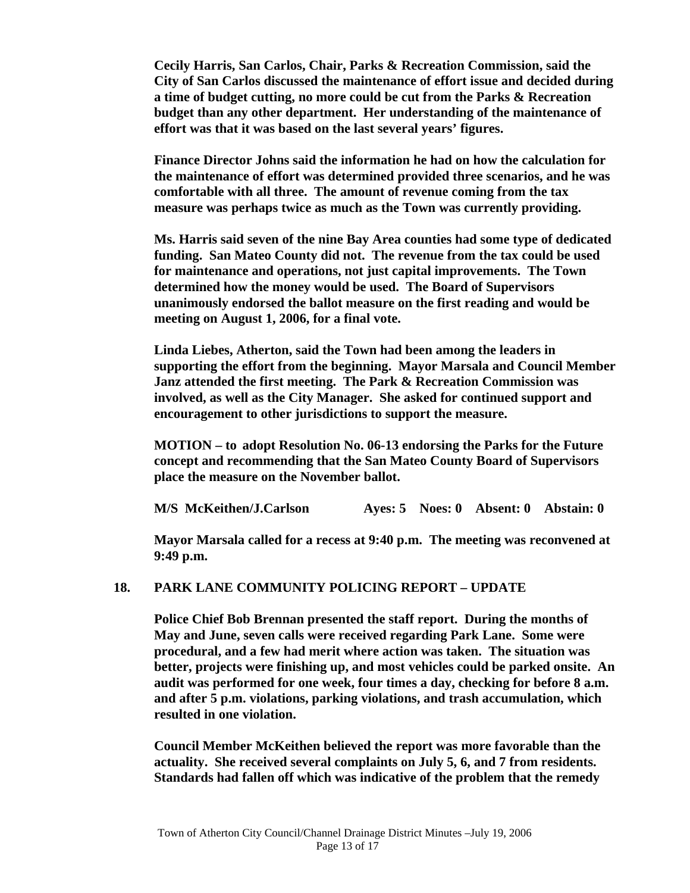**Cecily Harris, San Carlos, Chair, Parks & Recreation Commission, said the City of San Carlos discussed the maintenance of effort issue and decided during a time of budget cutting, no more could be cut from the Parks & Recreation budget than any other department. Her understanding of the maintenance of effort was that it was based on the last several years' figures.** 

 **Finance Director Johns said the information he had on how the calculation for the maintenance of effort was determined provided three scenarios, and he was comfortable with all three. The amount of revenue coming from the tax measure was perhaps twice as much as the Town was currently providing.** 

 **Ms. Harris said seven of the nine Bay Area counties had some type of dedicated funding. San Mateo County did not. The revenue from the tax could be used for maintenance and operations, not just capital improvements. The Town determined how the money would be used. The Board of Supervisors unanimously endorsed the ballot measure on the first reading and would be meeting on August 1, 2006, for a final vote.** 

 **Linda Liebes, Atherton, said the Town had been among the leaders in supporting the effort from the beginning. Mayor Marsala and Council Member Janz attended the first meeting. The Park & Recreation Commission was involved, as well as the City Manager. She asked for continued support and encouragement to other jurisdictions to support the measure.** 

 **MOTION – to adopt Resolution No. 06-13 endorsing the Parks for the Future concept and recommending that the San Mateo County Board of Supervisors place the measure on the November ballot.** 

 **M/S McKeithen/J.Carlson Ayes: 5 Noes: 0 Absent: 0 Abstain: 0** 

 **Mayor Marsala called for a recess at 9:40 p.m. The meeting was reconvened at 9:49 p.m.** 

#### **18. PARK LANE COMMUNITY POLICING REPORT – UPDATE**

 **Police Chief Bob Brennan presented the staff report. During the months of May and June, seven calls were received regarding Park Lane. Some were procedural, and a few had merit where action was taken. The situation was better, projects were finishing up, and most vehicles could be parked onsite. An audit was performed for one week, four times a day, checking for before 8 a.m. and after 5 p.m. violations, parking violations, and trash accumulation, which resulted in one violation.** 

 **Council Member McKeithen believed the report was more favorable than the actuality. She received several complaints on July 5, 6, and 7 from residents. Standards had fallen off which was indicative of the problem that the remedy**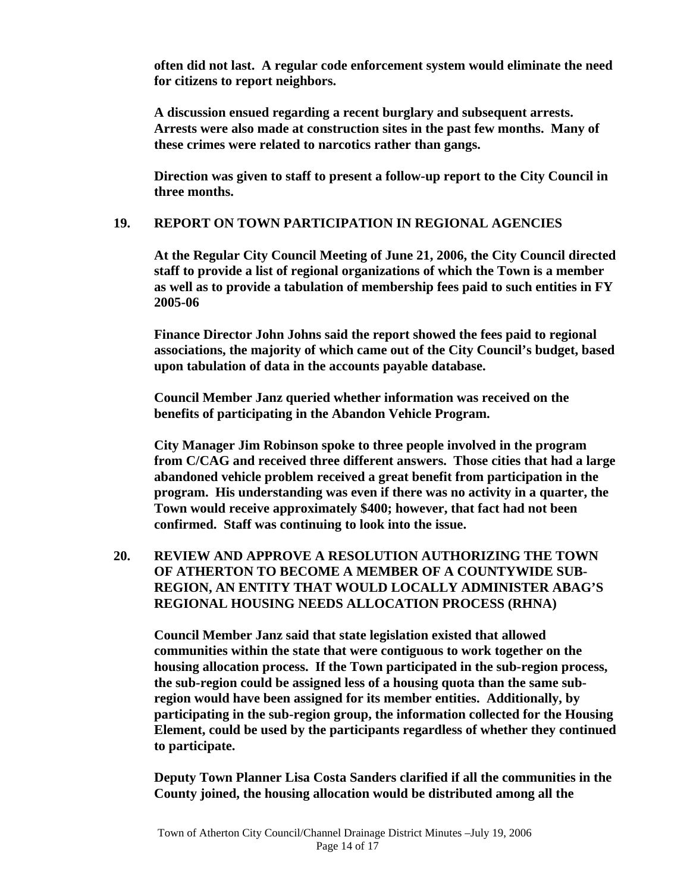**often did not last. A regular code enforcement system would eliminate the need for citizens to report neighbors.** 

 **A discussion ensued regarding a recent burglary and subsequent arrests. Arrests were also made at construction sites in the past few months. Many of these crimes were related to narcotics rather than gangs.** 

 **Direction was given to staff to present a follow-up report to the City Council in three months.** 

#### **19. REPORT ON TOWN PARTICIPATION IN REGIONAL AGENCIES**

 **At the Regular City Council Meeting of June 21, 2006, the City Council directed staff to provide a list of regional organizations of which the Town is a member as well as to provide a tabulation of membership fees paid to such entities in FY 2005-06** 

 **Finance Director John Johns said the report showed the fees paid to regional associations, the majority of which came out of the City Council's budget, based upon tabulation of data in the accounts payable database.** 

 **Council Member Janz queried whether information was received on the benefits of participating in the Abandon Vehicle Program.** 

 **City Manager Jim Robinson spoke to three people involved in the program from C/CAG and received three different answers. Those cities that had a large abandoned vehicle problem received a great benefit from participation in the program. His understanding was even if there was no activity in a quarter, the Town would receive approximately \$400; however, that fact had not been confirmed. Staff was continuing to look into the issue.** 

## **20. REVIEW AND APPROVE A RESOLUTION AUTHORIZING THE TOWN OF ATHERTON TO BECOME A MEMBER OF A COUNTYWIDE SUB-REGION, AN ENTITY THAT WOULD LOCALLY ADMINISTER ABAG'S REGIONAL HOUSING NEEDS ALLOCATION PROCESS (RHNA)**

 **Council Member Janz said that state legislation existed that allowed communities within the state that were contiguous to work together on the housing allocation process. If the Town participated in the sub-region process, the sub-region could be assigned less of a housing quota than the same subregion would have been assigned for its member entities. Additionally, by participating in the sub-region group, the information collected for the Housing Element, could be used by the participants regardless of whether they continued to participate.** 

 **Deputy Town Planner Lisa Costa Sanders clarified if all the communities in the County joined, the housing allocation would be distributed among all the**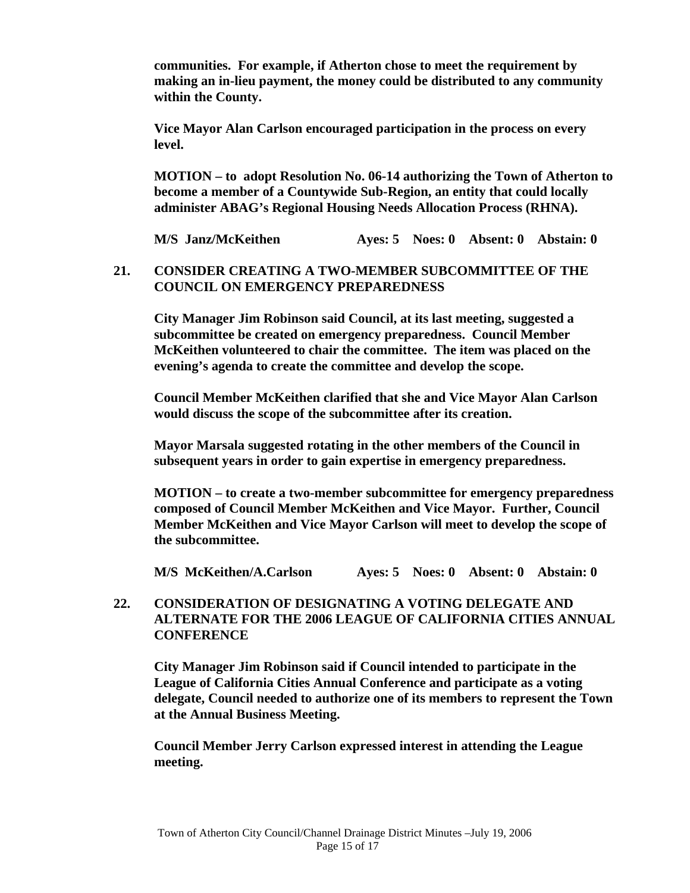**communities. For example, if Atherton chose to meet the requirement by making an in-lieu payment, the money could be distributed to any community within the County.** 

 **Vice Mayor Alan Carlson encouraged participation in the process on every level.** 

 **MOTION – to adopt Resolution No. 06-14 authorizing the Town of Atherton to become a member of a Countywide Sub-Region, an entity that could locally administer ABAG's Regional Housing Needs Allocation Process (RHNA).** 

 **M/S Janz/McKeithen Ayes: 5 Noes: 0 Absent: 0 Abstain: 0** 

## **21. CONSIDER CREATING A TWO-MEMBER SUBCOMMITTEE OF THE COUNCIL ON EMERGENCY PREPAREDNESS**

 **City Manager Jim Robinson said Council, at its last meeting, suggested a subcommittee be created on emergency preparedness. Council Member McKeithen volunteered to chair the committee. The item was placed on the evening's agenda to create the committee and develop the scope.** 

 **Council Member McKeithen clarified that she and Vice Mayor Alan Carlson would discuss the scope of the subcommittee after its creation.** 

 **Mayor Marsala suggested rotating in the other members of the Council in subsequent years in order to gain expertise in emergency preparedness.** 

 **MOTION – to create a two-member subcommittee for emergency preparedness composed of Council Member McKeithen and Vice Mayor. Further, Council Member McKeithen and Vice Mayor Carlson will meet to develop the scope of the subcommittee.** 

 **M/S McKeithen/A.Carlson Ayes: 5 Noes: 0 Absent: 0 Abstain: 0** 

## **22. CONSIDERATION OF DESIGNATING A VOTING DELEGATE AND ALTERNATE FOR THE 2006 LEAGUE OF CALIFORNIA CITIES ANNUAL CONFERENCE**

 **City Manager Jim Robinson said if Council intended to participate in the League of California Cities Annual Conference and participate as a voting delegate, Council needed to authorize one of its members to represent the Town at the Annual Business Meeting.** 

 **Council Member Jerry Carlson expressed interest in attending the League meeting.**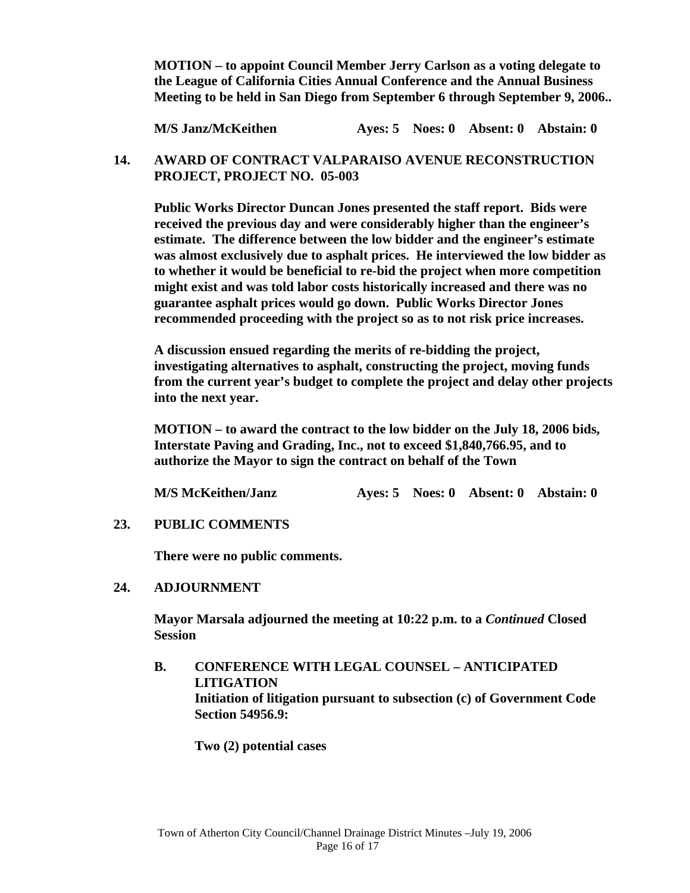**MOTION – to appoint Council Member Jerry Carlson as a voting delegate to the League of California Cities Annual Conference and the Annual Business Meeting to be held in San Diego from September 6 through September 9, 2006..** 

 **M/S Janz/McKeithen Ayes: 5 Noes: 0 Absent: 0 Abstain: 0** 

### **14. AWARD OF CONTRACT VALPARAISO AVENUE RECONSTRUCTION PROJECT, PROJECT NO. 05-003**

 **Public Works Director Duncan Jones presented the staff report. Bids were received the previous day and were considerably higher than the engineer's estimate. The difference between the low bidder and the engineer's estimate was almost exclusively due to asphalt prices. He interviewed the low bidder as to whether it would be beneficial to re-bid the project when more competition might exist and was told labor costs historically increased and there was no guarantee asphalt prices would go down. Public Works Director Jones recommended proceeding with the project so as to not risk price increases.** 

**A discussion ensued regarding the merits of re-bidding the project, investigating alternatives to asphalt, constructing the project, moving funds from the current year's budget to complete the project and delay other projects into the next year.** 

**MOTION – to award the contract to the low bidder on the July 18, 2006 bids, Interstate Paving and Grading, Inc., not to exceed \$1,840,766.95, and to authorize the Mayor to sign the contract on behalf of the Town** 

**M/S McKeithen/Janz Ayes: 5 Noes: 0 Absent: 0 Abstain: 0** 

 **23. PUBLIC COMMENTS** 

 **There were no public comments.** 

#### **24. ADJOURNMENT**

 **Mayor Marsala adjourned the meeting at 10:22 p.m. to a** *Continued* **Closed Session** 

 **B. CONFERENCE WITH LEGAL COUNSEL – ANTICIPATED LITIGATION Initiation of litigation pursuant to subsection (c) of Government Code Section 54956.9:** 

 **Two (2) potential cases**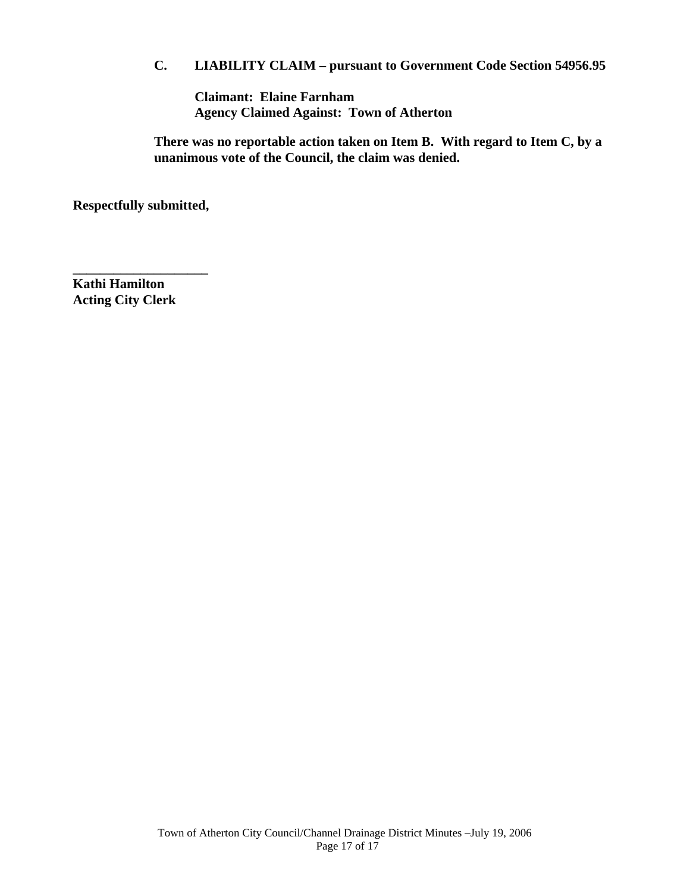## **C. LIABILITY CLAIM – pursuant to Government Code Section 54956.95**

 **Claimant: Elaine Farnham Agency Claimed Against: Town of Atherton** 

 **There was no reportable action taken on Item B. With regard to Item C, by a unanimous vote of the Council, the claim was denied.** 

**Respectfully submitted,** 

**\_\_\_\_\_\_\_\_\_\_\_\_\_\_\_\_\_\_\_\_** 

**Kathi Hamilton Acting City Clerk**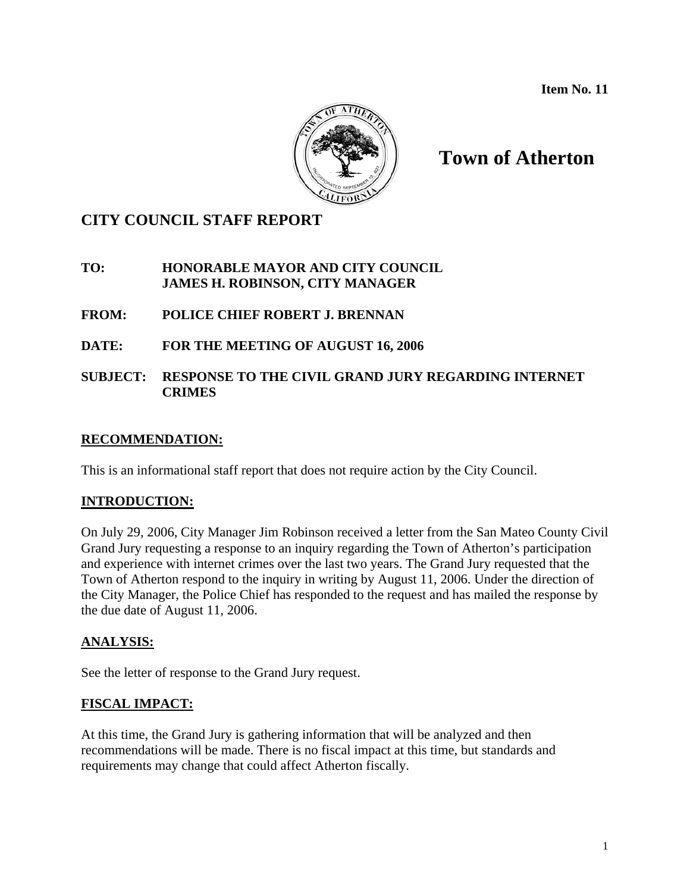**Item No. 11**



# **Town of Atherton**

## **CITY COUNCIL STAFF REPORT**

## **TO: HONORABLE MAYOR AND CITY COUNCIL JAMES H. ROBINSON, CITY MANAGER**

## **FROM: POLICE CHIEF ROBERT J. BRENNAN**

## **DATE: FOR THE MEETING OF AUGUST 16, 2006**

## **SUBJECT: RESPONSE TO THE CIVIL GRAND JURY REGARDING INTERNET CRIMES**

## **RECOMMENDATION:**

This is an informational staff report that does not require action by the City Council.

## **INTRODUCTION:**

On July 29, 2006, City Manager Jim Robinson received a letter from the San Mateo County Civil Grand Jury requesting a response to an inquiry regarding the Town of Atherton's participation and experience with internet crimes over the last two years. The Grand Jury requested that the Town of Atherton respond to the inquiry in writing by August 11, 2006. Under the direction of the City Manager, the Police Chief has responded to the request and has mailed the response by the due date of August 11, 2006.

## **ANALYSIS:**

See the letter of response to the Grand Jury request.

## **FISCAL IMPACT:**

At this time, the Grand Jury is gathering information that will be analyzed and then recommendations will be made. There is no fiscal impact at this time, but standards and requirements may change that could affect Atherton fiscally.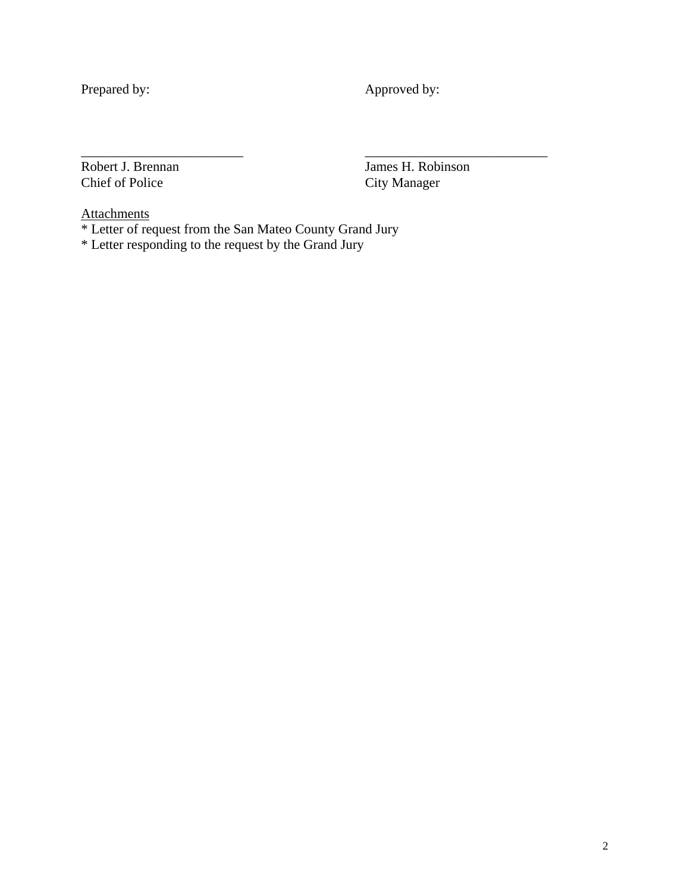Prepared by: Approved by:

Robert J. Brennan James H. Robinson<br>Chief of Police City Manager City Manager

**Attachments** 

\* Letter of request from the San Mateo County Grand Jury

\_\_\_\_\_\_\_\_\_\_\_\_\_\_\_\_\_\_\_\_\_\_\_\_ \_\_\_\_\_\_\_\_\_\_\_\_\_\_\_\_\_\_\_\_\_\_\_\_\_\_\_

\* Letter responding to the request by the Grand Jury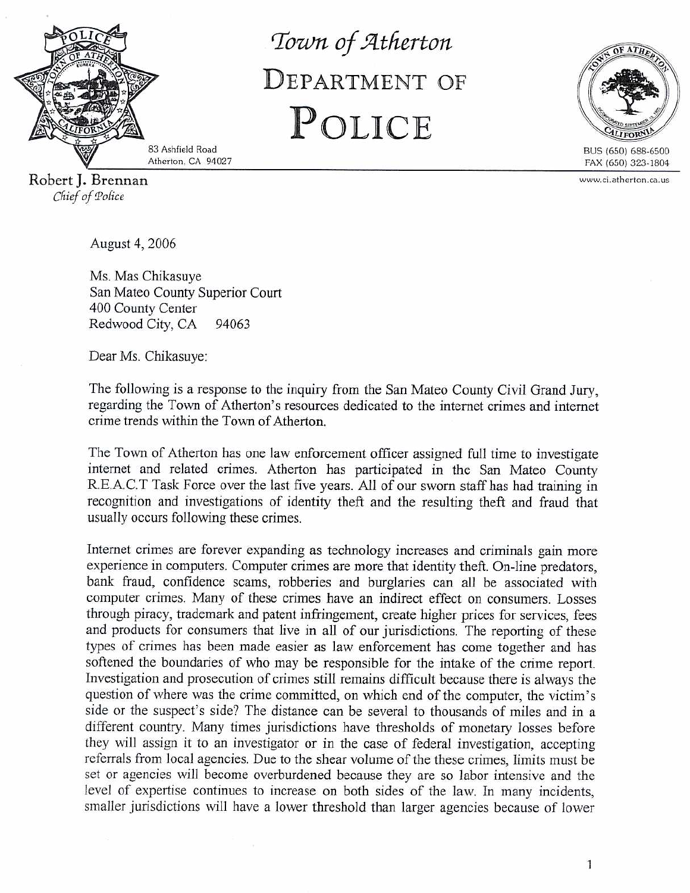

Town of Atherton DEPARTMENT OF POLICE



www.ci.atherton.ca.us

83 Ashfield Road Atherton, CA 94027

Robert J. Brennan Chief of Police

August 4, 2006

Ms. Mas Chikasuye San Mateo County Superior Court 400 County Center Redwood City, CA 94063

Dear Ms. Chikasuye:

The following is a response to the inquiry from the San Mateo County Civil Grand Jury, regarding the Town of Atherton's resources dedicated to the internet crimes and internet crime trends within the Town of Atherton.

The Town of Atherton has one law enforcement officer assigned full time to investigate internet and related crimes. Atherton has participated in the San Mateo County R.E.A.C.T Task Force over the last five years. All of our sworn staff has had training in recognition and investigations of identity theft and the resulting theft and fraud that usually occurs following these crimes.

Internet crimes are forever expanding as technology increases and criminals gain more experience in computers. Computer crimes are more that identity theft. On-line predators, bank fraud, confidence scams, robberies and burglaries can all be associated with computer crimes. Many of these crimes have an indirect effect on consumers. Losses through piracy, trademark and patent infringement, create higher prices for services, fees and products for consumers that live in all of our jurisdictions. The reporting of these types of crimes has been made easier as law enforcement has come together and has softened the boundaries of who may be responsible for the intake of the crime report. Investigation and prosecution of crimes still remains difficult because there is always the question of where was the crime committed, on which end of the computer, the victim's side or the suspect's side? The distance can be several to thousands of miles and in a different country. Many times jurisdictions have thresholds of monetary losses before they will assign it to an investigator or in the case of federal investigation, accepting referrals from local agencies. Due to the shear volume of the these crimes, limits must be set or agencies will become overburdened because they are so labor intensive and the level of expertise continues to increase on both sides of the law. In many incidents, smaller jurisdictions will have a lower threshold than larger agencies because of lower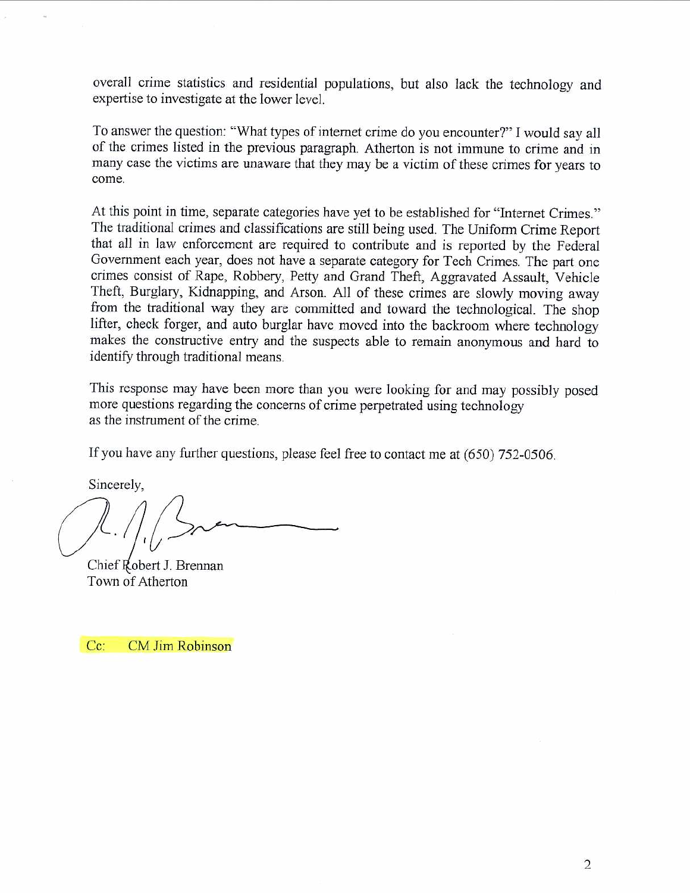overall crime statistics and residential populations, but also lack the technology and expertise to investigate at the lower level.

To answer the question: "What types of internet crime do you encounter?" I would say all of the crimes listed in the previous paragraph. Atherton is not immune to crime and in many case the victims are unaware that they may be a victim of these crimes for years to come.

At this point in time, separate categories have yet to be established for "Internet Crimes." The traditional crimes and classifications are still being used. The Uniform Crime Report that all in law enforcement are required to contribute and is reported by the Federal Government each year, does not have a separate category for Tech Crimes. The part one crimes consist of Rape, Robbery, Petty and Grand Theft, Aggravated Assault, Vehicle Theft, Burglary, Kidnapping, and Arson. All of these crimes are slowly moving away from the traditional way they are committed and toward the technological. The shop lifter, check forger, and auto burglar have moved into the backroom where technology makes the constructive entry and the suspects able to remain anonymous and hard to identify through traditional means.

This response may have been more than you were looking for and may possibly posed more questions regarding the concerns of crime perpetrated using technology as the instrument of the crime.

If you have any further questions, please feel free to contact me at (650) 752-0506.

Sincerely,

Chief Robert J. Brennan Town of Atherton

 $Cc$ : CM Jim Robinson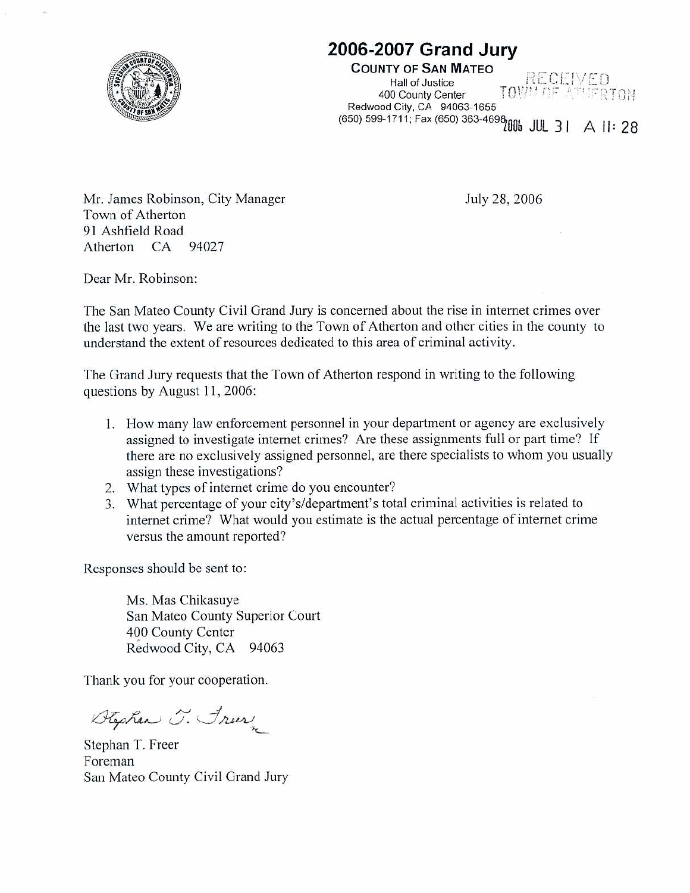

# 2006-2007 Grand Jury

**COUNTY OF SAN MATEO** RECEIVED **Hall of Justice TOWN OF ATHERTOM** 400 County Center Redwood City, CA 94063-1655 Redwood City, CA 2003-4698<br>(650) 599-1711; Fax (650) 363-4698

Mr. James Robinson, City Manager Town of Atherton 91 Ashfield Road Atherton CA 94027

July 28, 2006

Dear Mr. Robinson:

The San Mateo County Civil Grand Jury is concerned about the rise in internet crimes over the last two years. We are writing to the Town of Atherton and other cities in the county to understand the extent of resources dedicated to this area of criminal activity.

The Grand Jury requests that the Town of Atherton respond in writing to the following questions by August 11, 2006:

- 1. How many law enforcement personnel in your department or agency are exclusively assigned to investigate internet crimes? Are these assignments full or part time? If there are no exclusively assigned personnel, are there specialists to whom you usually assign these investigations?
- 2. What types of internet crime do you encounter?
- 3. What percentage of your city's/department's total criminal activities is related to internet crime? What would you estimate is the actual percentage of internet crime versus the amount reported?

Responses should be sent to:

Ms. Mas Chikasuye San Mateo County Superior Court 400 County Center Redwood City, CA 94063

Thank you for your cooperation.

Stephen J. Freez

Stephan T. Freer Foreman San Mateo County Civil Grand Jury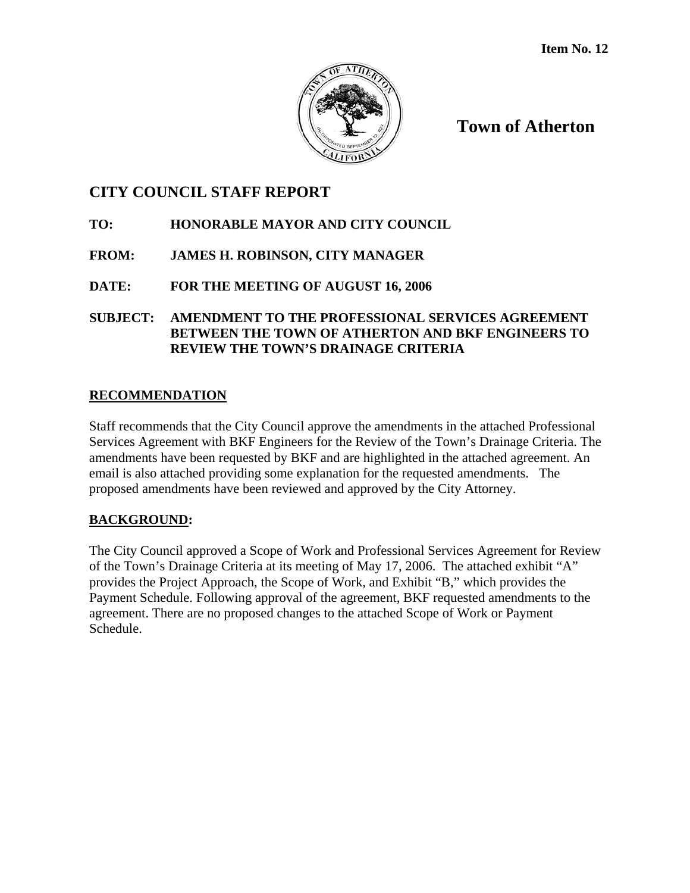

**Town of Atherton**

## **CITY COUNCIL STAFF REPORT**

## **TO: HONORABLE MAYOR AND CITY COUNCIL**

## **FROM: JAMES H. ROBINSON, CITY MANAGER**

## **DATE: FOR THE MEETING OF AUGUST 16, 2006**

**SUBJECT: AMENDMENT TO THE PROFESSIONAL SERVICES AGREEMENT BETWEEN THE TOWN OF ATHERTON AND BKF ENGINEERS TO REVIEW THE TOWN'S DRAINAGE CRITERIA** 

## **RECOMMENDATION**

Staff recommends that the City Council approve the amendments in the attached Professional Services Agreement with BKF Engineers for the Review of the Town's Drainage Criteria. The amendments have been requested by BKF and are highlighted in the attached agreement. An email is also attached providing some explanation for the requested amendments. The proposed amendments have been reviewed and approved by the City Attorney.

## **BACKGROUND:**

The City Council approved a Scope of Work and Professional Services Agreement for Review of the Town's Drainage Criteria at its meeting of May 17, 2006. The attached exhibit "A" provides the Project Approach, the Scope of Work, and Exhibit "B," which provides the Payment Schedule. Following approval of the agreement, BKF requested amendments to the agreement. There are no proposed changes to the attached Scope of Work or Payment Schedule.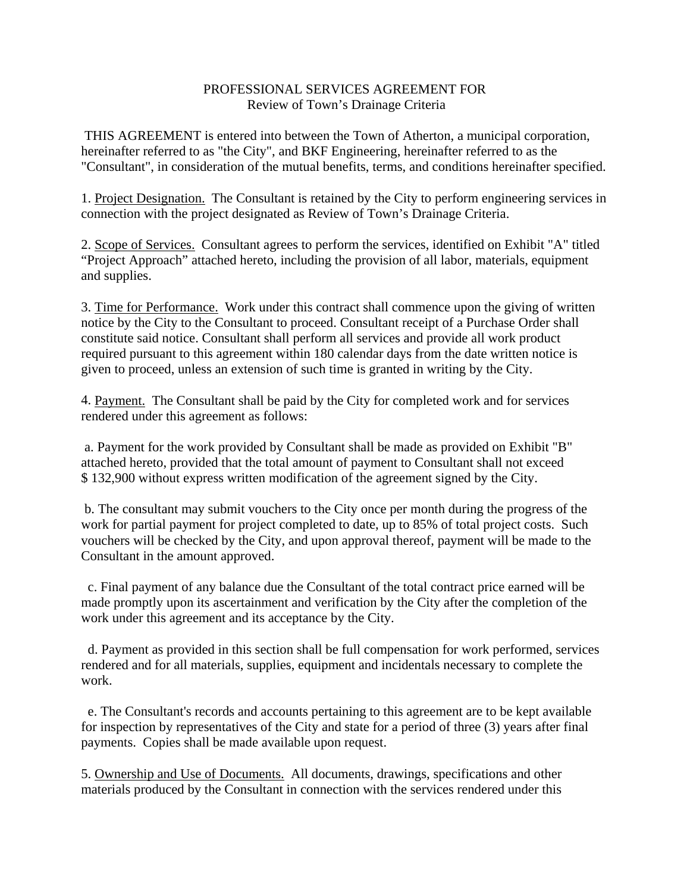#### PROFESSIONAL SERVICES AGREEMENT FOR Review of Town's Drainage Criteria

 THIS AGREEMENT is entered into between the Town of Atherton, a municipal corporation, hereinafter referred to as "the City", and BKF Engineering, hereinafter referred to as the "Consultant", in consideration of the mutual benefits, terms, and conditions hereinafter specified.

1. Project Designation. The Consultant is retained by the City to perform engineering services in connection with the project designated as Review of Town's Drainage Criteria.

2. Scope of Services. Consultant agrees to perform the services, identified on Exhibit "A" titled "Project Approach" attached hereto, including the provision of all labor, materials, equipment and supplies.

3. Time for Performance. Work under this contract shall commence upon the giving of written notice by the City to the Consultant to proceed. Consultant receipt of a Purchase Order shall constitute said notice. Consultant shall perform all services and provide all work product required pursuant to this agreement within 180 calendar days from the date written notice is given to proceed, unless an extension of such time is granted in writing by the City.

4. Payment. The Consultant shall be paid by the City for completed work and for services rendered under this agreement as follows:

 a. Payment for the work provided by Consultant shall be made as provided on Exhibit "B" attached hereto, provided that the total amount of payment to Consultant shall not exceed \$ 132,900 without express written modification of the agreement signed by the City.

 b. The consultant may submit vouchers to the City once per month during the progress of the work for partial payment for project completed to date, up to 85% of total project costs. Such vouchers will be checked by the City, and upon approval thereof, payment will be made to the Consultant in the amount approved.

 c. Final payment of any balance due the Consultant of the total contract price earned will be made promptly upon its ascertainment and verification by the City after the completion of the work under this agreement and its acceptance by the City.

 d. Payment as provided in this section shall be full compensation for work performed, services rendered and for all materials, supplies, equipment and incidentals necessary to complete the work.

 e. The Consultant's records and accounts pertaining to this agreement are to be kept available for inspection by representatives of the City and state for a period of three (3) years after final payments. Copies shall be made available upon request.

5. Ownership and Use of Documents. All documents, drawings, specifications and other materials produced by the Consultant in connection with the services rendered under this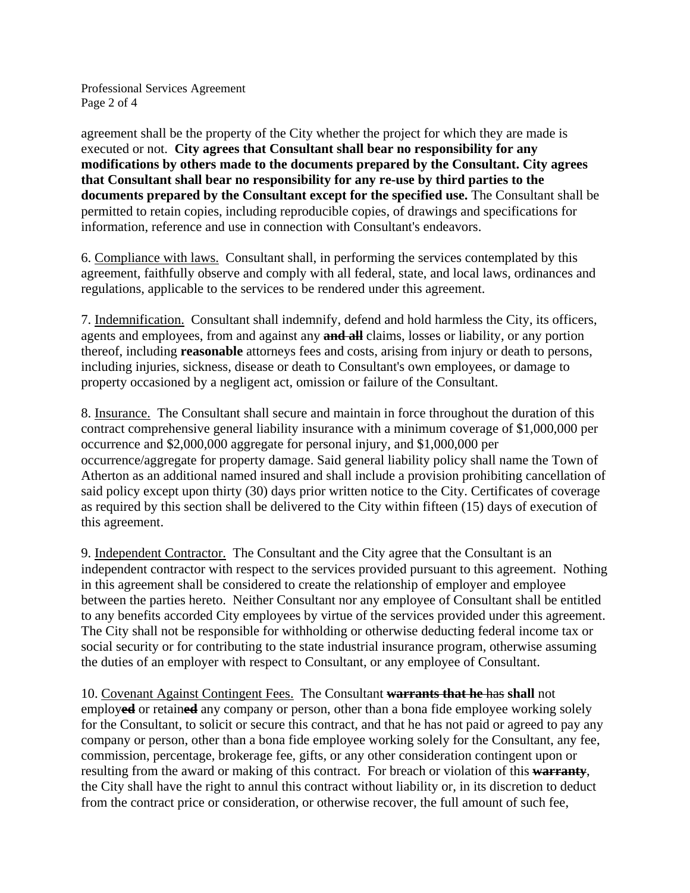Professional Services Agreement Page 2 of 4

agreement shall be the property of the City whether the project for which they are made is executed or not. **City agrees that Consultant shall bear no responsibility for any modifications by others made to the documents prepared by the Consultant. City agrees that Consultant shall bear no responsibility for any re-use by third parties to the documents prepared by the Consultant except for the specified use.** The Consultant shall be permitted to retain copies, including reproducible copies, of drawings and specifications for information, reference and use in connection with Consultant's endeavors.

6. Compliance with laws. Consultant shall, in performing the services contemplated by this agreement, faithfully observe and comply with all federal, state, and local laws, ordinances and regulations, applicable to the services to be rendered under this agreement.

7. Indemnification. Consultant shall indemnify, defend and hold harmless the City, its officers, agents and employees, from and against any **and all** claims, losses or liability, or any portion thereof, including **reasonable** attorneys fees and costs, arising from injury or death to persons, including injuries, sickness, disease or death to Consultant's own employees, or damage to property occasioned by a negligent act, omission or failure of the Consultant.

8. Insurance. The Consultant shall secure and maintain in force throughout the duration of this contract comprehensive general liability insurance with a minimum coverage of \$1,000,000 per occurrence and \$2,000,000 aggregate for personal injury, and \$1,000,000 per occurrence/aggregate for property damage. Said general liability policy shall name the Town of Atherton as an additional named insured and shall include a provision prohibiting cancellation of said policy except upon thirty (30) days prior written notice to the City. Certificates of coverage as required by this section shall be delivered to the City within fifteen (15) days of execution of this agreement.

9. Independent Contractor. The Consultant and the City agree that the Consultant is an independent contractor with respect to the services provided pursuant to this agreement. Nothing in this agreement shall be considered to create the relationship of employer and employee between the parties hereto. Neither Consultant nor any employee of Consultant shall be entitled to any benefits accorded City employees by virtue of the services provided under this agreement. The City shall not be responsible for withholding or otherwise deducting federal income tax or social security or for contributing to the state industrial insurance program, otherwise assuming the duties of an employer with respect to Consultant, or any employee of Consultant.

10. Covenant Against Contingent Fees. The Consultant **warrants that he** has **shall** not employ**ed** or retain**ed** any company or person, other than a bona fide employee working solely for the Consultant, to solicit or secure this contract, and that he has not paid or agreed to pay any company or person, other than a bona fide employee working solely for the Consultant, any fee, commission, percentage, brokerage fee, gifts, or any other consideration contingent upon or resulting from the award or making of this contract. For breach or violation of this **warranty**, the City shall have the right to annul this contract without liability or, in its discretion to deduct from the contract price or consideration, or otherwise recover, the full amount of such fee,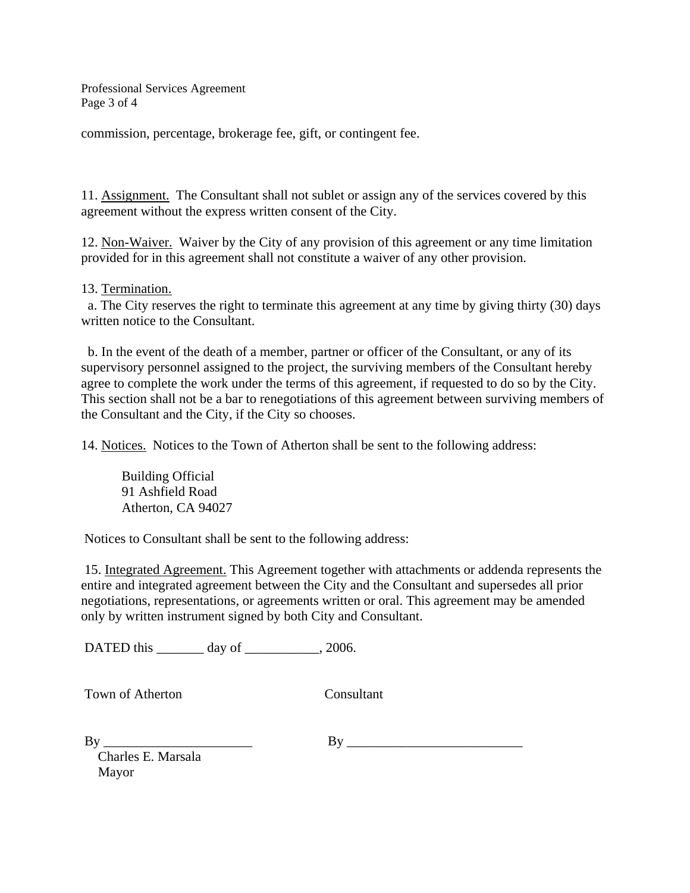Professional Services Agreement Page 3 of 4

commission, percentage, brokerage fee, gift, or contingent fee.

11. Assignment. The Consultant shall not sublet or assign any of the services covered by this agreement without the express written consent of the City.

12. Non-Waiver. Waiver by the City of any provision of this agreement or any time limitation provided for in this agreement shall not constitute a waiver of any other provision.

#### 13. Termination.

 a. The City reserves the right to terminate this agreement at any time by giving thirty (30) days written notice to the Consultant.

 b. In the event of the death of a member, partner or officer of the Consultant, or any of its supervisory personnel assigned to the project, the surviving members of the Consultant hereby agree to complete the work under the terms of this agreement, if requested to do so by the City. This section shall not be a bar to renegotiations of this agreement between surviving members of the Consultant and the City, if the City so chooses.

14. Notices. Notices to the Town of Atherton shall be sent to the following address:

 Building Official 91 Ashfield Road Atherton, CA 94027

Notices to Consultant shall be sent to the following address:

 15. Integrated Agreement. This Agreement together with attachments or addenda represents the entire and integrated agreement between the City and the Consultant and supersedes all prior negotiations, representations, or agreements written or oral. This agreement may be amended only by written instrument signed by both City and Consultant.

DATED this \_\_\_\_\_\_\_ day of \_\_\_\_\_\_\_\_\_, 2006.

Town of Atherton Consultant

| I<br>۰. |  |
|---------|--|
|         |  |

By \_\_\_\_\_\_\_\_\_\_\_\_\_\_\_\_\_\_\_\_\_\_ By \_\_\_\_\_\_\_\_\_\_\_\_\_\_\_\_\_\_\_\_\_\_\_\_\_\_

 Charles E. Marsala Mayor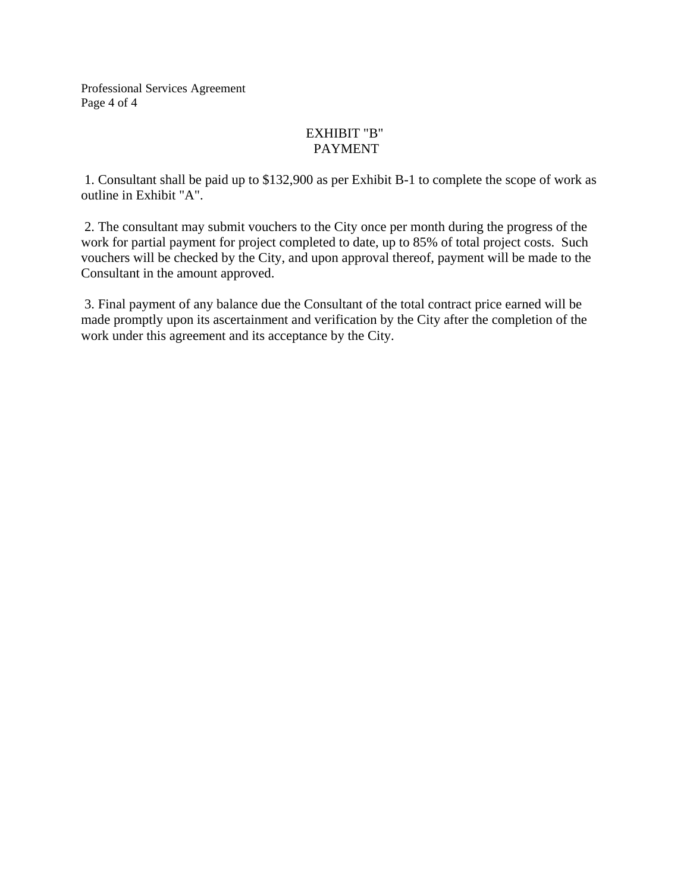Professional Services Agreement Page 4 of 4

## EXHIBIT "B" PAYMENT

 1. Consultant shall be paid up to \$132,900 as per Exhibit B-1 to complete the scope of work as outline in Exhibit "A".

 2. The consultant may submit vouchers to the City once per month during the progress of the work for partial payment for project completed to date, up to 85% of total project costs. Such vouchers will be checked by the City, and upon approval thereof, payment will be made to the Consultant in the amount approved.

 3. Final payment of any balance due the Consultant of the total contract price earned will be made promptly upon its ascertainment and verification by the City after the completion of the work under this agreement and its acceptance by the City.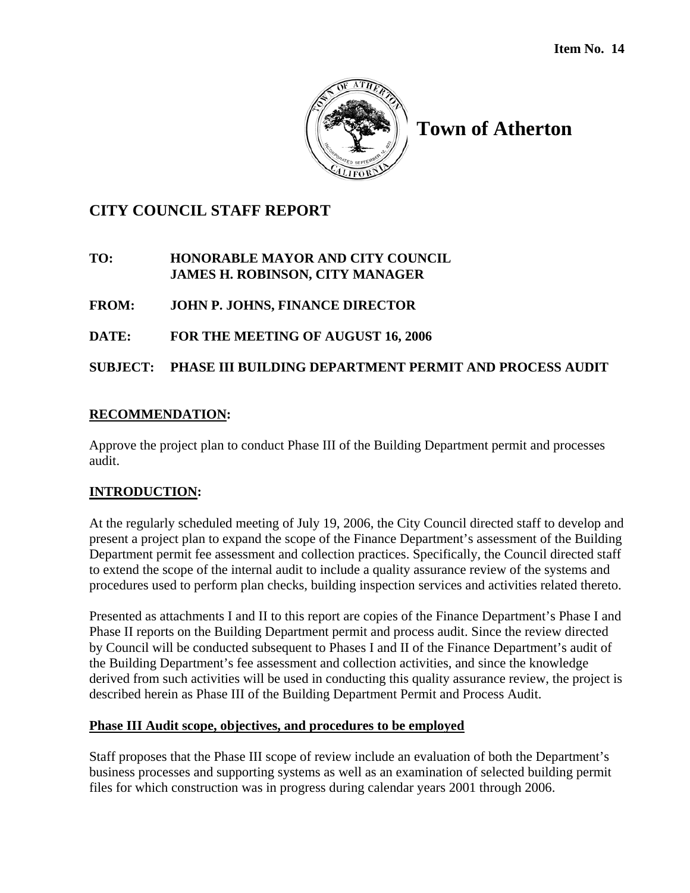

# **Town of Atherton**

# **CITY COUNCIL STAFF REPORT**

## **TO: HONORABLE MAYOR AND CITY COUNCIL JAMES H. ROBINSON, CITY MANAGER**

**FROM: JOHN P. JOHNS, FINANCE DIRECTOR** 

**DATE: FOR THE MEETING OF AUGUST 16, 2006**

**SUBJECT: PHASE III BUILDING DEPARTMENT PERMIT AND PROCESS AUDIT** 

## **RECOMMENDATION:**

Approve the project plan to conduct Phase III of the Building Department permit and processes audit.

## **INTRODUCTION:**

At the regularly scheduled meeting of July 19, 2006, the City Council directed staff to develop and present a project plan to expand the scope of the Finance Department's assessment of the Building Department permit fee assessment and collection practices. Specifically, the Council directed staff to extend the scope of the internal audit to include a quality assurance review of the systems and procedures used to perform plan checks, building inspection services and activities related thereto.

Presented as attachments I and II to this report are copies of the Finance Department's Phase I and Phase II reports on the Building Department permit and process audit. Since the review directed by Council will be conducted subsequent to Phases I and II of the Finance Department's audit of the Building Department's fee assessment and collection activities, and since the knowledge derived from such activities will be used in conducting this quality assurance review, the project is described herein as Phase III of the Building Department Permit and Process Audit.

## **Phase III Audit scope, objectives, and procedures to be employed**

Staff proposes that the Phase III scope of review include an evaluation of both the Department's business processes and supporting systems as well as an examination of selected building permit files for which construction was in progress during calendar years 2001 through 2006.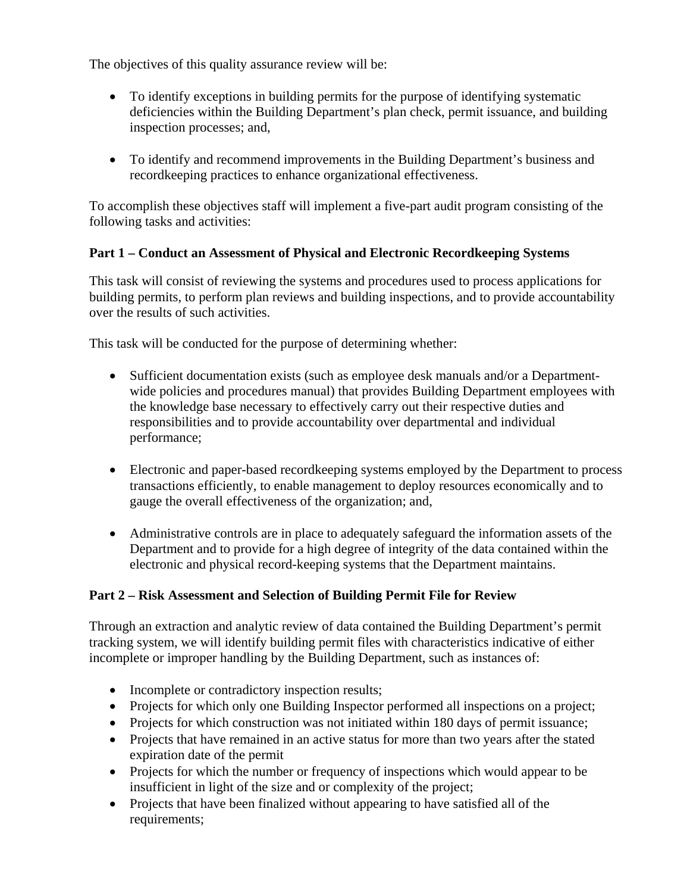The objectives of this quality assurance review will be:

- To identify exceptions in building permits for the purpose of identifying systematic deficiencies within the Building Department's plan check, permit issuance, and building inspection processes; and,
- To identify and recommend improvements in the Building Department's business and recordkeeping practices to enhance organizational effectiveness.

To accomplish these objectives staff will implement a five-part audit program consisting of the following tasks and activities:

## **Part 1 – Conduct an Assessment of Physical and Electronic Recordkeeping Systems**

This task will consist of reviewing the systems and procedures used to process applications for building permits, to perform plan reviews and building inspections, and to provide accountability over the results of such activities.

This task will be conducted for the purpose of determining whether:

- Sufficient documentation exists (such as employee desk manuals and/or a Departmentwide policies and procedures manual) that provides Building Department employees with the knowledge base necessary to effectively carry out their respective duties and responsibilities and to provide accountability over departmental and individual performance;
- Electronic and paper-based record keeping systems employed by the Department to process transactions efficiently, to enable management to deploy resources economically and to gauge the overall effectiveness of the organization; and,
- Administrative controls are in place to adequately safeguard the information assets of the Department and to provide for a high degree of integrity of the data contained within the electronic and physical record-keeping systems that the Department maintains.

## **Part 2 – Risk Assessment and Selection of Building Permit File for Review**

Through an extraction and analytic review of data contained the Building Department's permit tracking system, we will identify building permit files with characteristics indicative of either incomplete or improper handling by the Building Department, such as instances of:

- Incomplete or contradictory inspection results;
- Projects for which only one Building Inspector performed all inspections on a project;
- Projects for which construction was not initiated within 180 days of permit issuance;
- Projects that have remained in an active status for more than two years after the stated expiration date of the permit
- Projects for which the number or frequency of inspections which would appear to be insufficient in light of the size and or complexity of the project;
- Projects that have been finalized without appearing to have satisfied all of the requirements;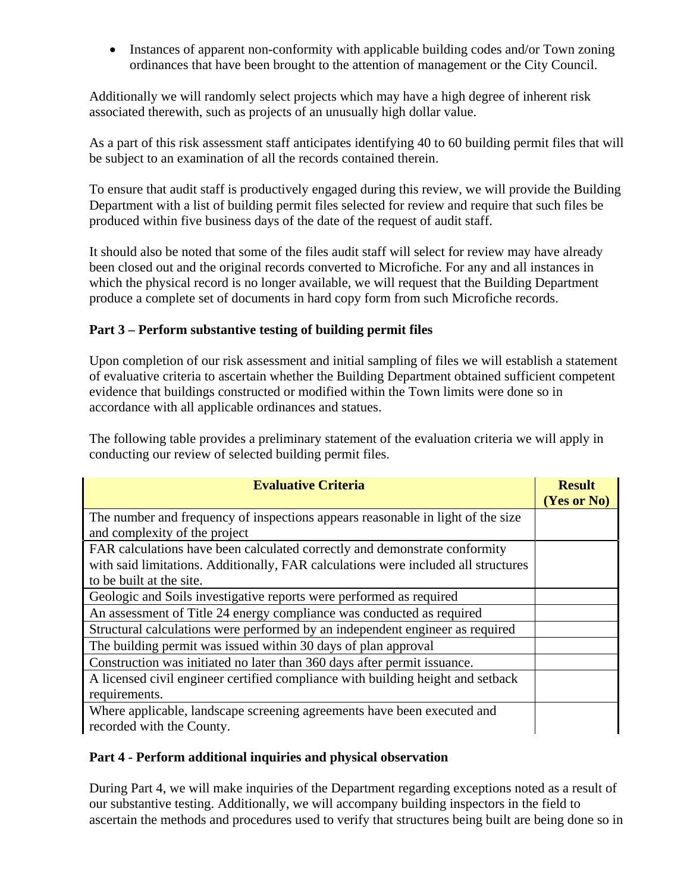• Instances of apparent non-conformity with applicable building codes and/or Town zoning ordinances that have been brought to the attention of management or the City Council.

Additionally we will randomly select projects which may have a high degree of inherent risk associated therewith, such as projects of an unusually high dollar value.

As a part of this risk assessment staff anticipates identifying 40 to 60 building permit files that will be subject to an examination of all the records contained therein.

To ensure that audit staff is productively engaged during this review, we will provide the Building Department with a list of building permit files selected for review and require that such files be produced within five business days of the date of the request of audit staff.

It should also be noted that some of the files audit staff will select for review may have already been closed out and the original records converted to Microfiche. For any and all instances in which the physical record is no longer available, we will request that the Building Department produce a complete set of documents in hard copy form from such Microfiche records.

## **Part 3 – Perform substantive testing of building permit files**

Upon completion of our risk assessment and initial sampling of files we will establish a statement of evaluative criteria to ascertain whether the Building Department obtained sufficient competent evidence that buildings constructed or modified within the Town limits were done so in accordance with all applicable ordinances and statues.

The following table provides a preliminary statement of the evaluation criteria we will apply in conducting our review of selected building permit files.

| <b>Evaluative Criteria</b>                                                                                                                                       | <b>Result</b><br>(Yes or No) |
|------------------------------------------------------------------------------------------------------------------------------------------------------------------|------------------------------|
| The number and frequency of inspections appears reasonable in light of the size<br>and complexity of the project                                                 |                              |
| FAR calculations have been calculated correctly and demonstrate conformity<br>with said limitations. Additionally, FAR calculations were included all structures |                              |
| to be built at the site.                                                                                                                                         |                              |
| Geologic and Soils investigative reports were performed as required                                                                                              |                              |
| An assessment of Title 24 energy compliance was conducted as required                                                                                            |                              |
| Structural calculations were performed by an independent engineer as required                                                                                    |                              |
| The building permit was issued within 30 days of plan approval                                                                                                   |                              |
| Construction was initiated no later than 360 days after permit issuance.                                                                                         |                              |
| A licensed civil engineer certified compliance with building height and setback                                                                                  |                              |
| requirements.                                                                                                                                                    |                              |
| Where applicable, landscape screening agreements have been executed and<br>recorded with the County.                                                             |                              |

#### **Part 4 - Perform additional inquiries and physical observation**

During Part 4, we will make inquiries of the Department regarding exceptions noted as a result of our substantive testing. Additionally, we will accompany building inspectors in the field to ascertain the methods and procedures used to verify that structures being built are being done so in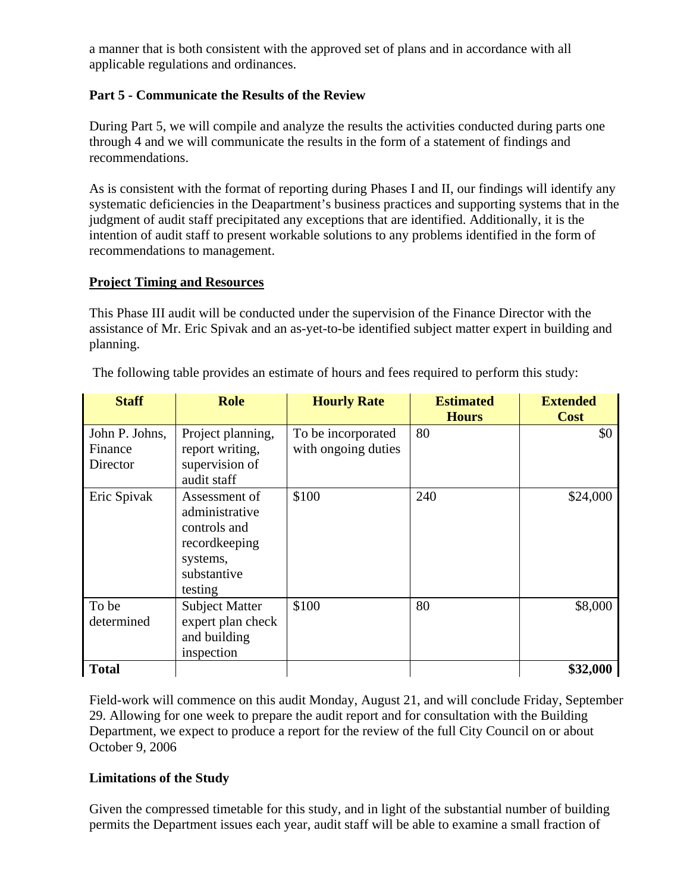a manner that is both consistent with the approved set of plans and in accordance with all applicable regulations and ordinances.

## **Part 5 - Communicate the Results of the Review**

During Part 5, we will compile and analyze the results the activities conducted during parts one through 4 and we will communicate the results in the form of a statement of findings and recommendations.

As is consistent with the format of reporting during Phases I and II, our findings will identify any systematic deficiencies in the Deapartment's business practices and supporting systems that in the judgment of audit staff precipitated any exceptions that are identified. Additionally, it is the intention of audit staff to present workable solutions to any problems identified in the form of recommendations to management.

## **Project Timing and Resources**

This Phase III audit will be conducted under the supervision of the Finance Director with the assistance of Mr. Eric Spivak and an as-yet-to-be identified subject matter expert in building and planning.

| <b>Staff</b>                          | <b>Role</b>                                                                                            | <b>Hourly Rate</b>                        | <b>Estimated</b><br><b>Hours</b> | <b>Extended</b><br><b>Cost</b> |
|---------------------------------------|--------------------------------------------------------------------------------------------------------|-------------------------------------------|----------------------------------|--------------------------------|
| John P. Johns,<br>Finance<br>Director | Project planning,<br>report writing,<br>supervision of<br>audit staff                                  | To be incorporated<br>with ongoing duties | 80                               | \$0                            |
| Eric Spivak                           | Assessment of<br>administrative<br>controls and<br>recordkeeping<br>systems,<br>substantive<br>testing | \$100                                     | 240                              | \$24,000                       |
| To be<br>determined                   | <b>Subject Matter</b><br>expert plan check<br>and building<br>inspection                               | \$100                                     | 80                               | \$8,000                        |
| <b>Total</b>                          |                                                                                                        |                                           |                                  | \$32,000                       |

The following table provides an estimate of hours and fees required to perform this study:

Field-work will commence on this audit Monday, August 21, and will conclude Friday, September 29. Allowing for one week to prepare the audit report and for consultation with the Building Department, we expect to produce a report for the review of the full City Council on or about October 9, 2006

## **Limitations of the Study**

Given the compressed timetable for this study, and in light of the substantial number of building permits the Department issues each year, audit staff will be able to examine a small fraction of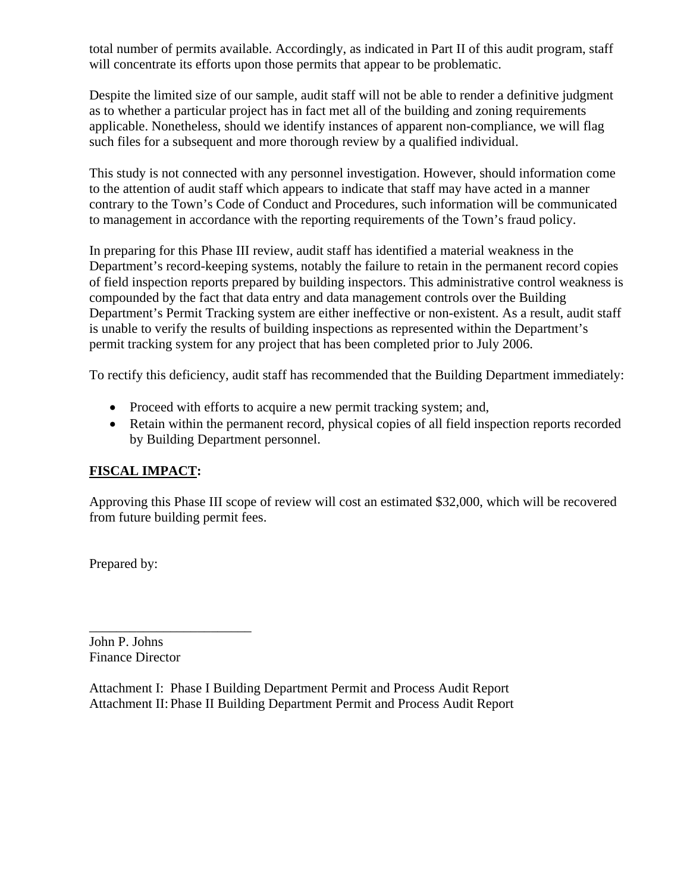total number of permits available. Accordingly, as indicated in Part II of this audit program, staff will concentrate its efforts upon those permits that appear to be problematic.

Despite the limited size of our sample, audit staff will not be able to render a definitive judgment as to whether a particular project has in fact met all of the building and zoning requirements applicable. Nonetheless, should we identify instances of apparent non-compliance, we will flag such files for a subsequent and more thorough review by a qualified individual.

This study is not connected with any personnel investigation. However, should information come to the attention of audit staff which appears to indicate that staff may have acted in a manner contrary to the Town's Code of Conduct and Procedures, such information will be communicated to management in accordance with the reporting requirements of the Town's fraud policy.

In preparing for this Phase III review, audit staff has identified a material weakness in the Department's record-keeping systems, notably the failure to retain in the permanent record copies of field inspection reports prepared by building inspectors. This administrative control weakness is compounded by the fact that data entry and data management controls over the Building Department's Permit Tracking system are either ineffective or non-existent. As a result, audit staff is unable to verify the results of building inspections as represented within the Department's permit tracking system for any project that has been completed prior to July 2006.

To rectify this deficiency, audit staff has recommended that the Building Department immediately:

- Proceed with efforts to acquire a new permit tracking system; and,
- Retain within the permanent record, physical copies of all field inspection reports recorded by Building Department personnel.

## **FISCAL IMPACT:**

Approving this Phase III scope of review will cost an estimated \$32,000, which will be recovered from future building permit fees.

Prepared by:

John P. Johns Finance Director

\_\_\_\_\_\_\_\_\_\_\_\_\_\_\_\_\_\_\_\_\_\_\_\_

Attachment I: Phase I Building Department Permit and Process Audit Report Attachment II: Phase II Building Department Permit and Process Audit Report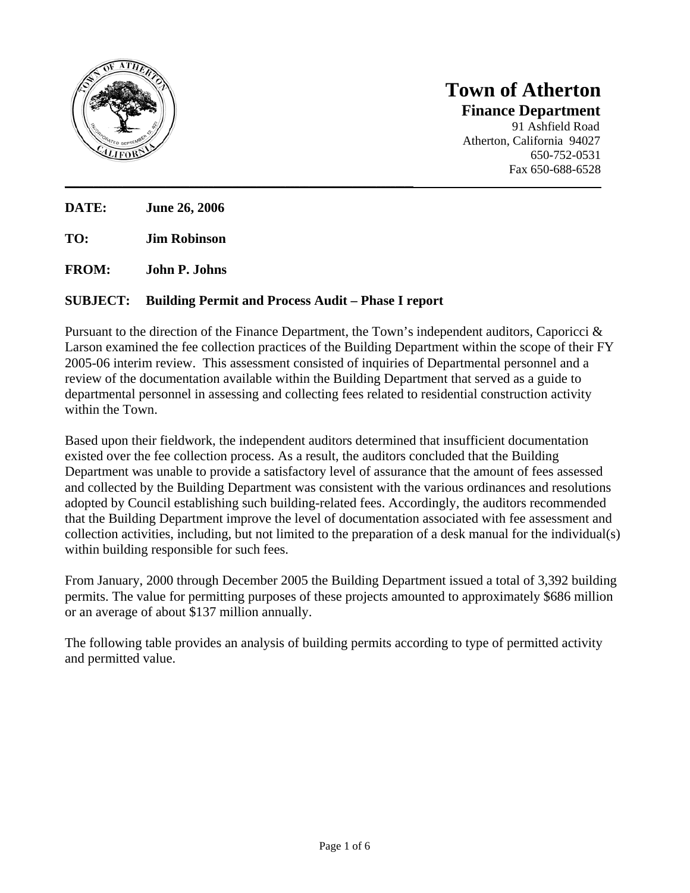

## **Town of Atherton Finance Department** 91 Ashfield Road Atherton, California 94027 650-752-0531

Fax 650-688-6528

**DATE: June 26, 2006** 

**TO: Jim Robinson** 

**FROM: John P. Johns** 

#### **SUBJECT: Building Permit and Process Audit – Phase I report**

Pursuant to the direction of the Finance Department, the Town's independent auditors, Caporicci & Larson examined the fee collection practices of the Building Department within the scope of their FY 2005-06 interim review. This assessment consisted of inquiries of Departmental personnel and a review of the documentation available within the Building Department that served as a guide to departmental personnel in assessing and collecting fees related to residential construction activity within the Town.

**\_\_\_\_\_\_\_\_\_\_\_\_\_\_\_\_\_\_\_\_\_\_\_\_\_\_\_\_\_\_\_\_\_\_\_\_\_\_\_\_\_\_\_\_\_\_\_\_\_\_\_\_\_\_\_\_\_\_\_\_\_\_\_\_\_\_\_\_\_\_\_\_\_\_\_\_\_\_\_\_\_\_\_\_\_\_\_\_\_\_\_\_\_\_\_\_\_\_\_\_\_\_\_\_\_\_\_\_\_\_\_\_** 

Based upon their fieldwork, the independent auditors determined that insufficient documentation existed over the fee collection process. As a result, the auditors concluded that the Building Department was unable to provide a satisfactory level of assurance that the amount of fees assessed and collected by the Building Department was consistent with the various ordinances and resolutions adopted by Council establishing such building-related fees. Accordingly, the auditors recommended that the Building Department improve the level of documentation associated with fee assessment and collection activities, including, but not limited to the preparation of a desk manual for the individual(s) within building responsible for such fees.

From January, 2000 through December 2005 the Building Department issued a total of 3,392 building permits. The value for permitting purposes of these projects amounted to approximately \$686 million or an average of about \$137 million annually.

The following table provides an analysis of building permits according to type of permitted activity and permitted value.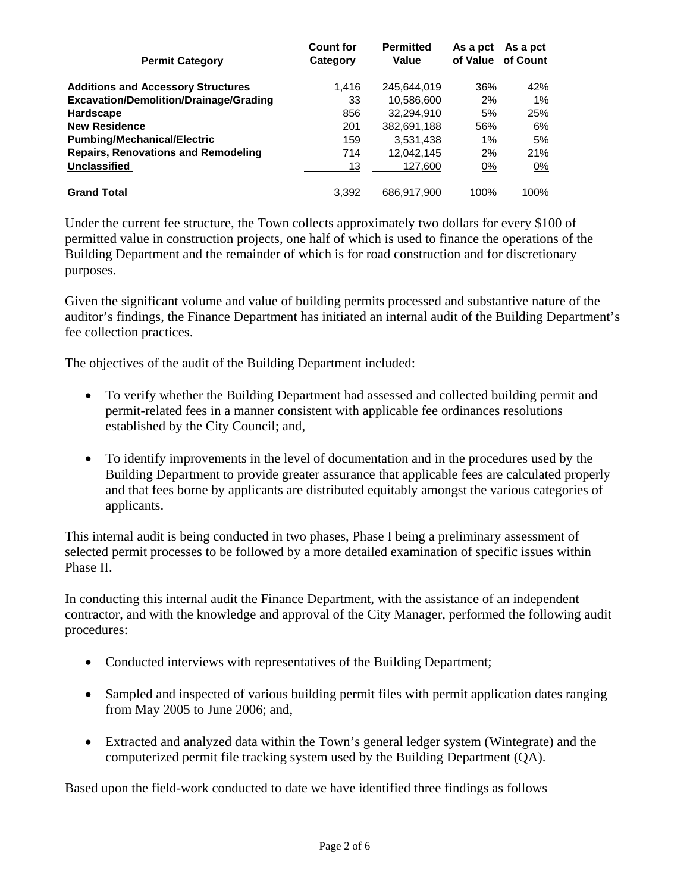| <b>Permit Category</b>                        | <b>Count for</b><br>Category | <b>Permitted</b><br>Value | As a pct | As a pct<br>of Value of Count |
|-----------------------------------------------|------------------------------|---------------------------|----------|-------------------------------|
| <b>Additions and Accessory Structures</b>     | 1.416                        | 245.644.019               | 36%      | 42%                           |
| <b>Excavation/Demolition/Drainage/Grading</b> | 33                           | 10,586,600                | 2%       | 1%                            |
| Hardscape                                     | 856                          | 32.294.910                | 5%       | 25%                           |
| <b>New Residence</b>                          | 201                          | 382,691,188               | 56%      | 6%                            |
| <b>Pumbing/Mechanical/Electric</b>            | 159                          | 3,531,438                 | $1\%$    | 5%                            |
| <b>Repairs, Renovations and Remodeling</b>    | 714                          | 12.042.145                | 2%       | 21%                           |
| <b>Unclassified</b>                           | 13                           | 127,600                   | 0%       | 0%                            |
| <b>Grand Total</b>                            | 3.392                        | 686.917.900               | 100%     | 100%                          |

Under the current fee structure, the Town collects approximately two dollars for every \$100 of permitted value in construction projects, one half of which is used to finance the operations of the Building Department and the remainder of which is for road construction and for discretionary purposes.

Given the significant volume and value of building permits processed and substantive nature of the auditor's findings, the Finance Department has initiated an internal audit of the Building Department's fee collection practices.

The objectives of the audit of the Building Department included:

- To verify whether the Building Department had assessed and collected building permit and permit-related fees in a manner consistent with applicable fee ordinances resolutions established by the City Council; and,
- To identify improvements in the level of documentation and in the procedures used by the Building Department to provide greater assurance that applicable fees are calculated properly and that fees borne by applicants are distributed equitably amongst the various categories of applicants.

This internal audit is being conducted in two phases, Phase I being a preliminary assessment of selected permit processes to be followed by a more detailed examination of specific issues within Phase II.

In conducting this internal audit the Finance Department, with the assistance of an independent contractor, and with the knowledge and approval of the City Manager, performed the following audit procedures:

- Conducted interviews with representatives of the Building Department;
- Sampled and inspected of various building permit files with permit application dates ranging from May 2005 to June 2006; and,
- Extracted and analyzed data within the Town's general ledger system (Wintegrate) and the computerized permit file tracking system used by the Building Department (QA).

Based upon the field-work conducted to date we have identified three findings as follows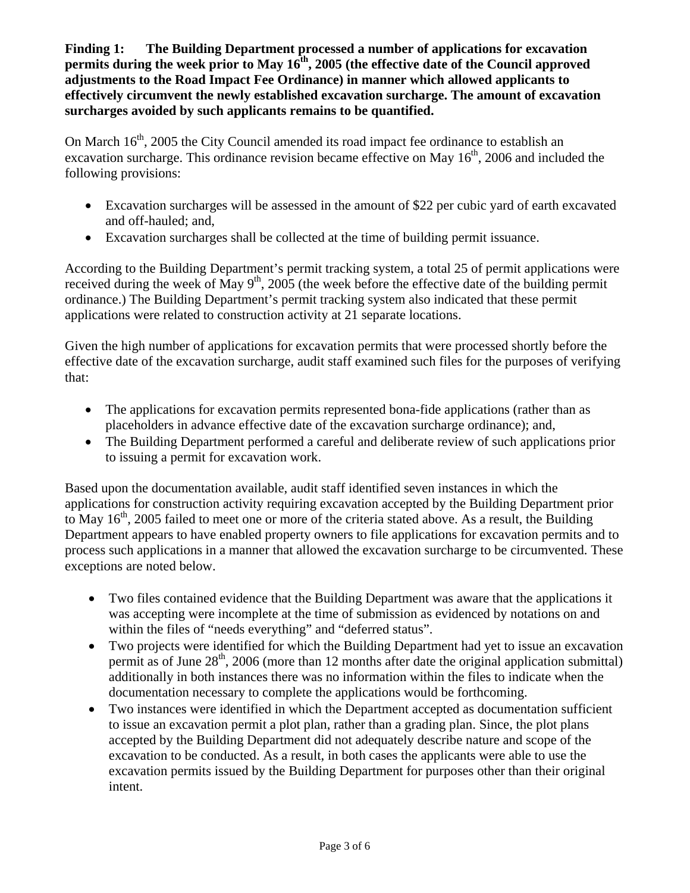**Finding 1: The Building Department processed a number of applications for excavation permits during the week prior to May**  $16<sup>th</sup>$ **, 2005 (the effective date of the Council approved adjustments to the Road Impact Fee Ordinance) in manner which allowed applicants to effectively circumvent the newly established excavation surcharge. The amount of excavation surcharges avoided by such applicants remains to be quantified.** 

On March  $16<sup>th</sup>$ , 2005 the City Council amended its road impact fee ordinance to establish an excavation surcharge. This ordinance revision became effective on May  $16<sup>th</sup>$ , 2006 and included the following provisions:

- Excavation surcharges will be assessed in the amount of \$22 per cubic yard of earth excavated and off-hauled; and,
- Excavation surcharges shall be collected at the time of building permit issuance.

According to the Building Department's permit tracking system, a total 25 of permit applications were received during the week of May  $9<sup>th</sup>$ , 2005 (the week before the effective date of the building permit ordinance.) The Building Department's permit tracking system also indicated that these permit applications were related to construction activity at 21 separate locations.

Given the high number of applications for excavation permits that were processed shortly before the effective date of the excavation surcharge, audit staff examined such files for the purposes of verifying that:

- The applications for excavation permits represented bona-fide applications (rather than as placeholders in advance effective date of the excavation surcharge ordinance); and,
- The Building Department performed a careful and deliberate review of such applications prior to issuing a permit for excavation work.

Based upon the documentation available, audit staff identified seven instances in which the applications for construction activity requiring excavation accepted by the Building Department prior to May  $16<sup>th</sup>$ , 2005 failed to meet one or more of the criteria stated above. As a result, the Building Department appears to have enabled property owners to file applications for excavation permits and to process such applications in a manner that allowed the excavation surcharge to be circumvented. These exceptions are noted below.

- Two files contained evidence that the Building Department was aware that the applications it was accepting were incomplete at the time of submission as evidenced by notations on and within the files of "needs everything" and "deferred status".
- Two projects were identified for which the Building Department had yet to issue an excavation permit as of June 28<sup>th</sup>, 2006 (more than 12 months after date the original application submittal) additionally in both instances there was no information within the files to indicate when the documentation necessary to complete the applications would be forthcoming.
- Two instances were identified in which the Department accepted as documentation sufficient to issue an excavation permit a plot plan, rather than a grading plan. Since, the plot plans accepted by the Building Department did not adequately describe nature and scope of the excavation to be conducted. As a result, in both cases the applicants were able to use the excavation permits issued by the Building Department for purposes other than their original intent.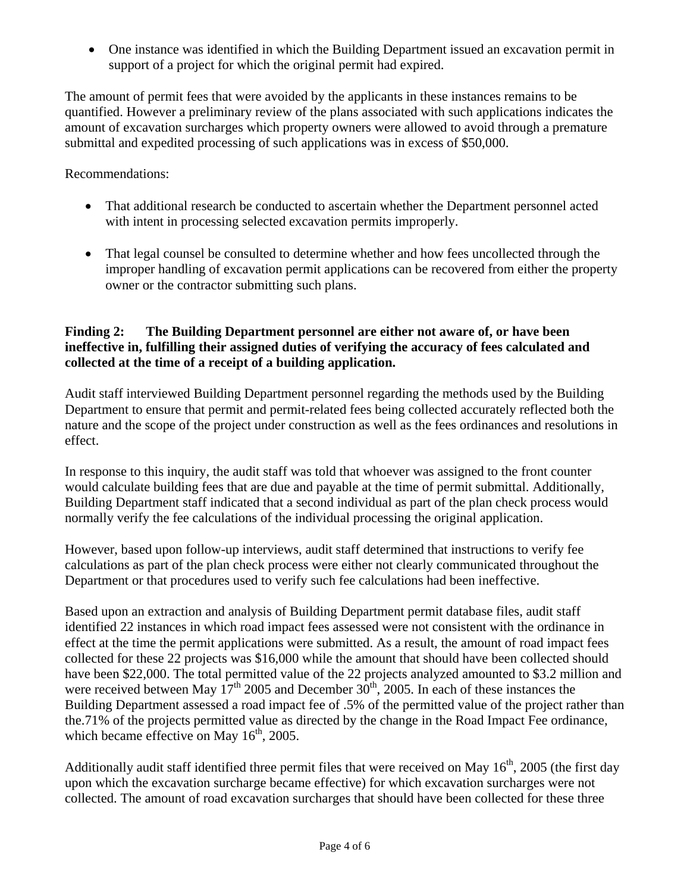• One instance was identified in which the Building Department issued an excavation permit in support of a project for which the original permit had expired.

The amount of permit fees that were avoided by the applicants in these instances remains to be quantified. However a preliminary review of the plans associated with such applications indicates the amount of excavation surcharges which property owners were allowed to avoid through a premature submittal and expedited processing of such applications was in excess of \$50,000.

Recommendations:

- That additional research be conducted to ascertain whether the Department personnel acted with intent in processing selected excavation permits improperly.
- That legal counsel be consulted to determine whether and how fees uncollected through the improper handling of excavation permit applications can be recovered from either the property owner or the contractor submitting such plans.

### **Finding 2: The Building Department personnel are either not aware of, or have been ineffective in, fulfilling their assigned duties of verifying the accuracy of fees calculated and collected at the time of a receipt of a building application.**

Audit staff interviewed Building Department personnel regarding the methods used by the Building Department to ensure that permit and permit-related fees being collected accurately reflected both the nature and the scope of the project under construction as well as the fees ordinances and resolutions in effect.

In response to this inquiry, the audit staff was told that whoever was assigned to the front counter would calculate building fees that are due and payable at the time of permit submittal. Additionally, Building Department staff indicated that a second individual as part of the plan check process would normally verify the fee calculations of the individual processing the original application.

However, based upon follow-up interviews, audit staff determined that instructions to verify fee calculations as part of the plan check process were either not clearly communicated throughout the Department or that procedures used to verify such fee calculations had been ineffective.

Based upon an extraction and analysis of Building Department permit database files, audit staff identified 22 instances in which road impact fees assessed were not consistent with the ordinance in effect at the time the permit applications were submitted. As a result, the amount of road impact fees collected for these 22 projects was \$16,000 while the amount that should have been collected should have been \$22,000. The total permitted value of the 22 projects analyzed amounted to \$3.2 million and were received between May  $17<sup>th</sup>$  2005 and December  $30<sup>th</sup>$ , 2005. In each of these instances the Building Department assessed a road impact fee of .5% of the permitted value of the project rather than the.71% of the projects permitted value as directed by the change in the Road Impact Fee ordinance, which became effective on May  $16<sup>th</sup>$ , 2005.

Additionally audit staff identified three permit files that were received on May  $16<sup>th</sup>$ , 2005 (the first day upon which the excavation surcharge became effective) for which excavation surcharges were not collected. The amount of road excavation surcharges that should have been collected for these three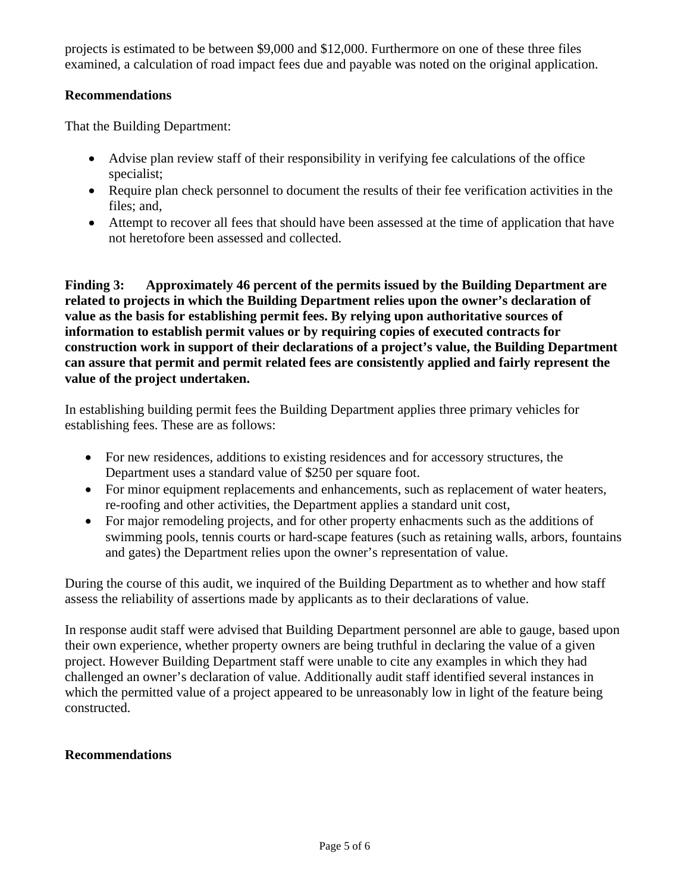projects is estimated to be between \$9,000 and \$12,000. Furthermore on one of these three files examined, a calculation of road impact fees due and payable was noted on the original application.

#### **Recommendations**

That the Building Department:

- Advise plan review staff of their responsibility in verifying fee calculations of the office specialist;
- Require plan check personnel to document the results of their fee verification activities in the files; and,
- Attempt to recover all fees that should have been assessed at the time of application that have not heretofore been assessed and collected.

**Finding 3: Approximately 46 percent of the permits issued by the Building Department are related to projects in which the Building Department relies upon the owner's declaration of value as the basis for establishing permit fees. By relying upon authoritative sources of information to establish permit values or by requiring copies of executed contracts for construction work in support of their declarations of a project's value, the Building Department can assure that permit and permit related fees are consistently applied and fairly represent the value of the project undertaken.** 

In establishing building permit fees the Building Department applies three primary vehicles for establishing fees. These are as follows:

- For new residences, additions to existing residences and for accessory structures, the Department uses a standard value of \$250 per square foot.
- For minor equipment replacements and enhancements, such as replacement of water heaters, re-roofing and other activities, the Department applies a standard unit cost,
- For major remodeling projects, and for other property enhacments such as the additions of swimming pools, tennis courts or hard-scape features (such as retaining walls, arbors, fountains and gates) the Department relies upon the owner's representation of value.

During the course of this audit, we inquired of the Building Department as to whether and how staff assess the reliability of assertions made by applicants as to their declarations of value.

In response audit staff were advised that Building Department personnel are able to gauge, based upon their own experience, whether property owners are being truthful in declaring the value of a given project. However Building Department staff were unable to cite any examples in which they had challenged an owner's declaration of value. Additionally audit staff identified several instances in which the permitted value of a project appeared to be unreasonably low in light of the feature being constructed.

#### **Recommendations**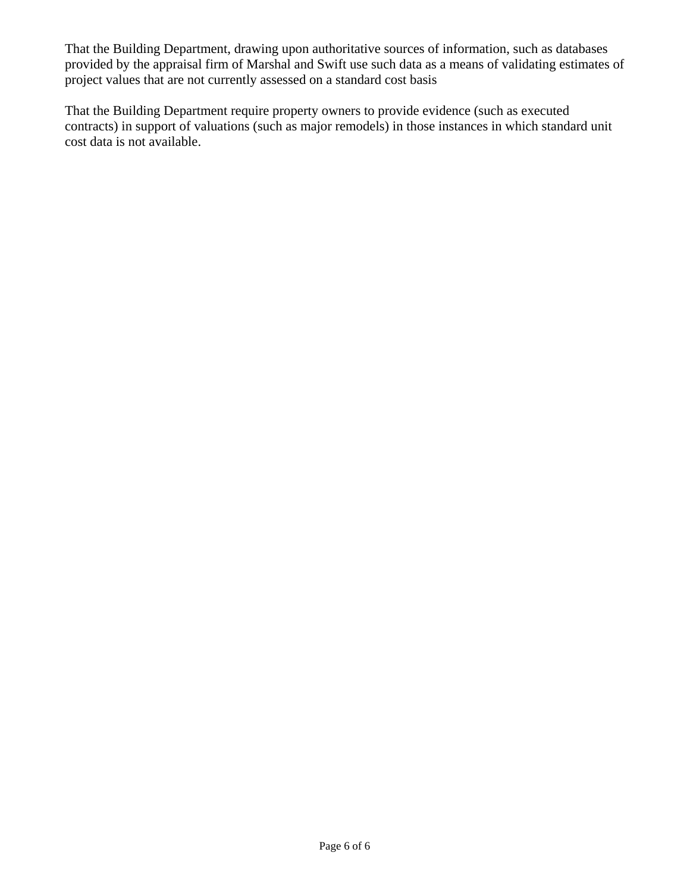That the Building Department, drawing upon authoritative sources of information, such as databases provided by the appraisal firm of Marshal and Swift use such data as a means of validating estimates of project values that are not currently assessed on a standard cost basis

That the Building Department require property owners to provide evidence (such as executed contracts) in support of valuations (such as major remodels) in those instances in which standard unit cost data is not available.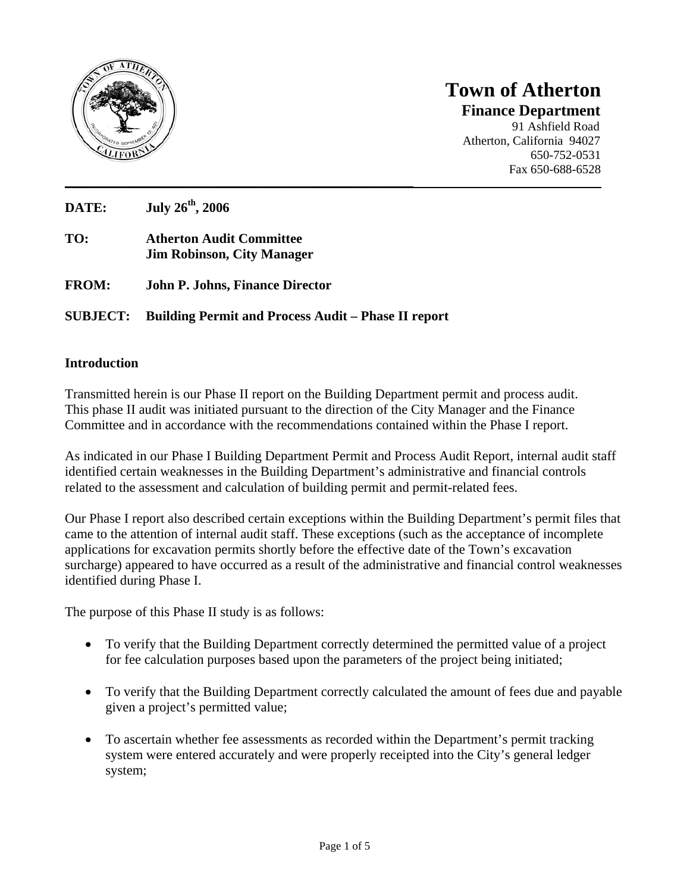

## **Town of Atherton Finance Department** 91 Ashfield Road Atherton, California 94027 650-752-0531 Fax 650-688-6528

**DATE: July 26th, 2006** 

- **TO: Atherton Audit Committee Jim Robinson, City Manager**
- **FROM: John P. Johns, Finance Director**

## **SUBJECT: Building Permit and Process Audit – Phase II report**

#### **Introduction**

Transmitted herein is our Phase II report on the Building Department permit and process audit. This phase II audit was initiated pursuant to the direction of the City Manager and the Finance Committee and in accordance with the recommendations contained within the Phase I report.

**\_\_\_\_\_\_\_\_\_\_\_\_\_\_\_\_\_\_\_\_\_\_\_\_\_\_\_\_\_\_\_\_\_\_\_\_\_\_\_\_\_\_\_\_\_\_\_\_\_\_\_\_\_\_\_\_\_\_\_\_\_\_\_\_\_\_\_\_\_\_\_\_\_\_\_\_\_\_\_\_\_\_\_\_\_\_\_\_\_\_\_\_\_\_\_\_\_\_\_\_\_\_\_\_\_\_\_\_\_\_\_\_** 

As indicated in our Phase I Building Department Permit and Process Audit Report, internal audit staff identified certain weaknesses in the Building Department's administrative and financial controls related to the assessment and calculation of building permit and permit-related fees.

Our Phase I report also described certain exceptions within the Building Department's permit files that came to the attention of internal audit staff. These exceptions (such as the acceptance of incomplete applications for excavation permits shortly before the effective date of the Town's excavation surcharge) appeared to have occurred as a result of the administrative and financial control weaknesses identified during Phase I.

The purpose of this Phase II study is as follows:

- To verify that the Building Department correctly determined the permitted value of a project for fee calculation purposes based upon the parameters of the project being initiated;
- To verify that the Building Department correctly calculated the amount of fees due and payable given a project's permitted value;
- To ascertain whether fee assessments as recorded within the Department's permit tracking system were entered accurately and were properly receipted into the City's general ledger system;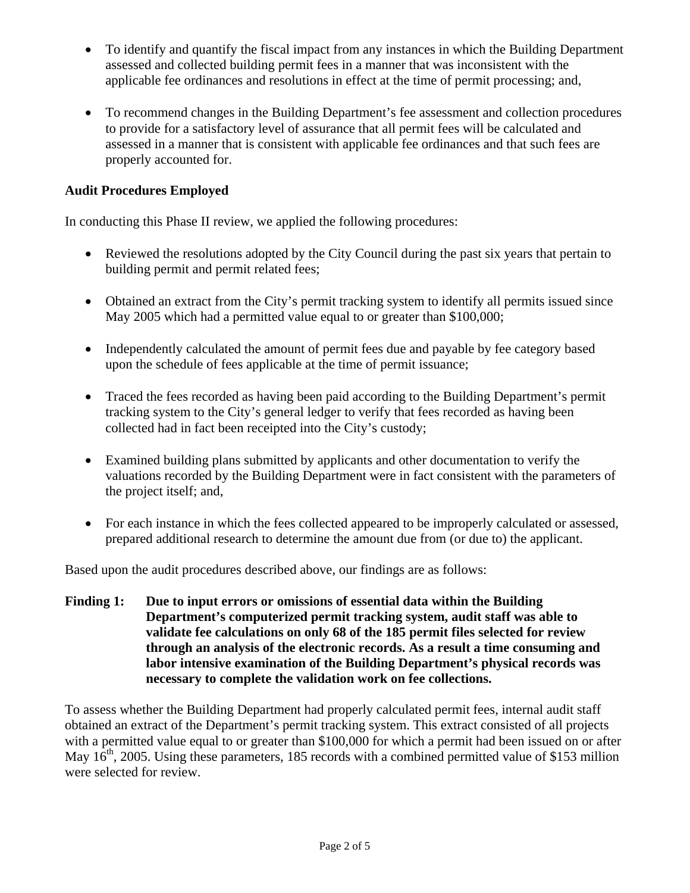- To identify and quantify the fiscal impact from any instances in which the Building Department assessed and collected building permit fees in a manner that was inconsistent with the applicable fee ordinances and resolutions in effect at the time of permit processing; and,
- To recommend changes in the Building Department's fee assessment and collection procedures to provide for a satisfactory level of assurance that all permit fees will be calculated and assessed in a manner that is consistent with applicable fee ordinances and that such fees are properly accounted for.

## **Audit Procedures Employed**

In conducting this Phase II review, we applied the following procedures:

- Reviewed the resolutions adopted by the City Council during the past six years that pertain to building permit and permit related fees;
- Obtained an extract from the City's permit tracking system to identify all permits issued since May 2005 which had a permitted value equal to or greater than \$100,000;
- Independently calculated the amount of permit fees due and payable by fee category based upon the schedule of fees applicable at the time of permit issuance;
- Traced the fees recorded as having been paid according to the Building Department's permit tracking system to the City's general ledger to verify that fees recorded as having been collected had in fact been receipted into the City's custody;
- Examined building plans submitted by applicants and other documentation to verify the valuations recorded by the Building Department were in fact consistent with the parameters of the project itself; and,
- For each instance in which the fees collected appeared to be improperly calculated or assessed. prepared additional research to determine the amount due from (or due to) the applicant.

Based upon the audit procedures described above, our findings are as follows:

**Finding 1: Due to input errors or omissions of essential data within the Building Department's computerized permit tracking system, audit staff was able to validate fee calculations on only 68 of the 185 permit files selected for review through an analysis of the electronic records. As a result a time consuming and labor intensive examination of the Building Department's physical records was necessary to complete the validation work on fee collections.** 

To assess whether the Building Department had properly calculated permit fees, internal audit staff obtained an extract of the Department's permit tracking system. This extract consisted of all projects with a permitted value equal to or greater than \$100,000 for which a permit had been issued on or after May  $16<sup>th</sup>$ , 2005. Using these parameters, 185 records with a combined permitted value of \$153 million were selected for review.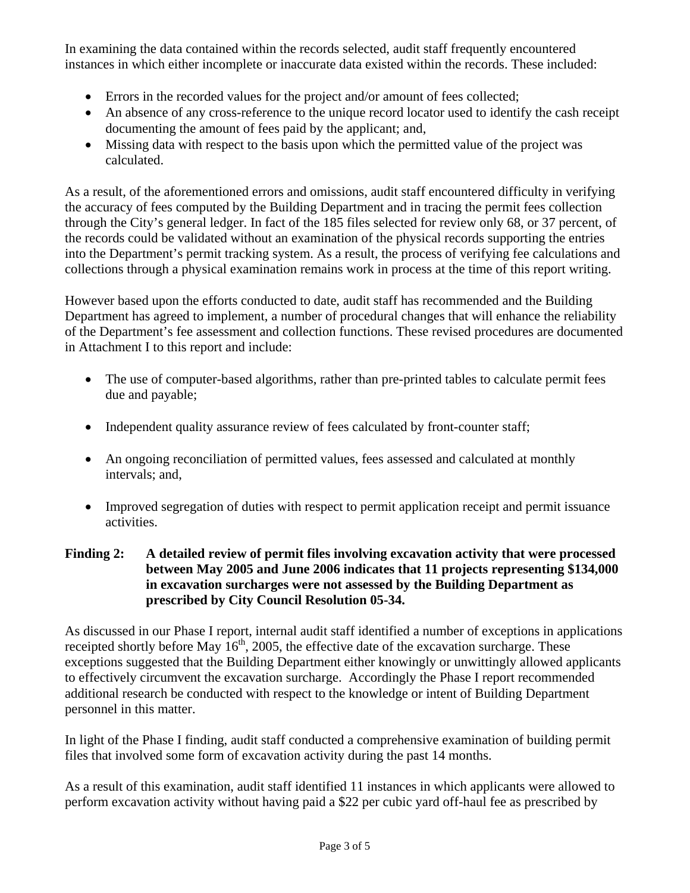In examining the data contained within the records selected, audit staff frequently encountered instances in which either incomplete or inaccurate data existed within the records. These included:

- Errors in the recorded values for the project and/or amount of fees collected;
- An absence of any cross-reference to the unique record locator used to identify the cash receipt documenting the amount of fees paid by the applicant; and,
- Missing data with respect to the basis upon which the permitted value of the project was calculated.

As a result, of the aforementioned errors and omissions, audit staff encountered difficulty in verifying the accuracy of fees computed by the Building Department and in tracing the permit fees collection through the City's general ledger. In fact of the 185 files selected for review only 68, or 37 percent, of the records could be validated without an examination of the physical records supporting the entries into the Department's permit tracking system. As a result, the process of verifying fee calculations and collections through a physical examination remains work in process at the time of this report writing.

However based upon the efforts conducted to date, audit staff has recommended and the Building Department has agreed to implement, a number of procedural changes that will enhance the reliability of the Department's fee assessment and collection functions. These revised procedures are documented in Attachment I to this report and include:

- The use of computer-based algorithms, rather than pre-printed tables to calculate permit fees due and payable;
- Independent quality assurance review of fees calculated by front-counter staff;
- An ongoing reconciliation of permitted values, fees assessed and calculated at monthly intervals; and,
- Improved segregation of duties with respect to permit application receipt and permit issuance activities.

## **Finding 2: A detailed review of permit files involving excavation activity that were processed between May 2005 and June 2006 indicates that 11 projects representing \$134,000 in excavation surcharges were not assessed by the Building Department as prescribed by City Council Resolution 05-34.**

As discussed in our Phase I report, internal audit staff identified a number of exceptions in applications receipted shortly before May  $16<sup>th</sup>$ , 2005, the effective date of the excavation surcharge. These exceptions suggested that the Building Department either knowingly or unwittingly allowed applicants to effectively circumvent the excavation surcharge. Accordingly the Phase I report recommended additional research be conducted with respect to the knowledge or intent of Building Department personnel in this matter.

In light of the Phase I finding, audit staff conducted a comprehensive examination of building permit files that involved some form of excavation activity during the past 14 months.

As a result of this examination, audit staff identified 11 instances in which applicants were allowed to perform excavation activity without having paid a \$22 per cubic yard off-haul fee as prescribed by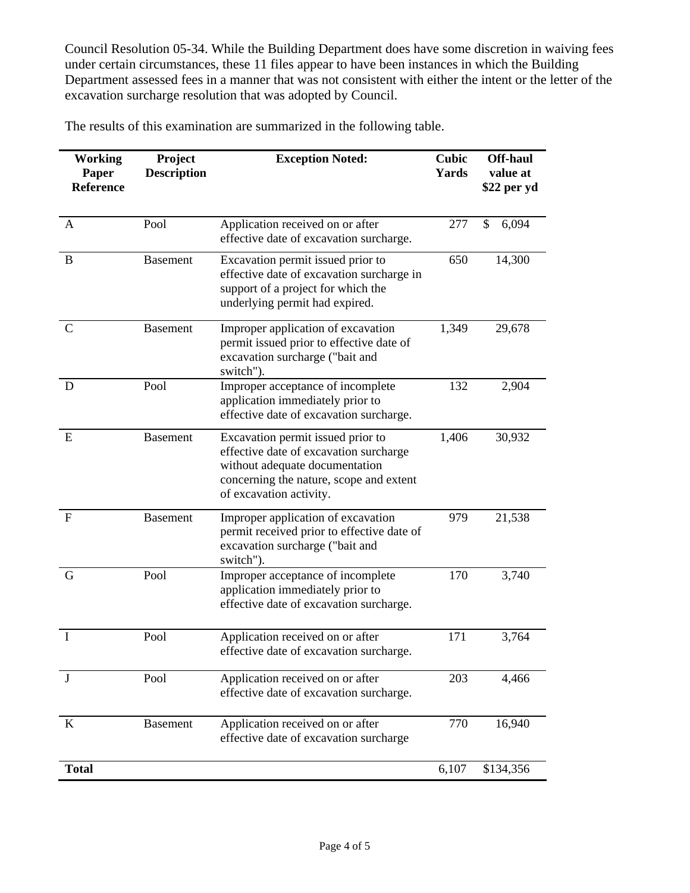Council Resolution 05-34. While the Building Department does have some discretion in waiving fees under certain circumstances, these 11 files appear to have been instances in which the Building Department assessed fees in a manner that was not consistent with either the intent or the letter of the excavation surcharge resolution that was adopted by Council.

The results of this examination are summarized in the following table.

| <b>Working</b><br>Paper<br>Reference | Project<br><b>Description</b> | <b>Exception Noted:</b>                                                                                                                                                             | <b>Cubic</b><br>Yards | <b>Off-haul</b><br>value at<br>\$22 per yd |
|--------------------------------------|-------------------------------|-------------------------------------------------------------------------------------------------------------------------------------------------------------------------------------|-----------------------|--------------------------------------------|
| A                                    | Pool                          | Application received on or after<br>effective date of excavation surcharge.                                                                                                         | 277                   | \$<br>6,094                                |
| B                                    | <b>Basement</b>               | Excavation permit issued prior to<br>effective date of excavation surcharge in<br>support of a project for which the<br>underlying permit had expired.                              | 650                   | 14,300                                     |
| $\mathbf C$                          | <b>Basement</b>               | Improper application of excavation<br>permit issued prior to effective date of<br>excavation surcharge ("bait and<br>switch").                                                      | 1,349                 | 29,678                                     |
| D                                    | Pool                          | Improper acceptance of incomplete<br>application immediately prior to<br>effective date of excavation surcharge.                                                                    | 132                   | 2,904                                      |
| E                                    | <b>Basement</b>               | Excavation permit issued prior to<br>effective date of excavation surcharge<br>without adequate documentation<br>concerning the nature, scope and extent<br>of excavation activity. | 1,406                 | 30,932                                     |
| $\mathbf{F}$                         | <b>Basement</b>               | Improper application of excavation<br>permit received prior to effective date of<br>excavation surcharge ("bait and<br>switch").                                                    | 979                   | 21,538                                     |
| G                                    | Pool                          | Improper acceptance of incomplete<br>application immediately prior to<br>effective date of excavation surcharge.                                                                    | 170                   | 3,740                                      |
| Ι                                    | Pool                          | Application received on or after<br>effective date of excavation surcharge                                                                                                          | 171                   | 3,764                                      |
| J                                    | Pool                          | Application received on or after<br>effective date of excavation surcharge.                                                                                                         | 203                   | 4,466                                      |
| K                                    | <b>Basement</b>               | Application received on or after<br>effective date of excavation surcharge                                                                                                          | 770                   | 16,940                                     |
| <b>Total</b>                         |                               |                                                                                                                                                                                     | 6,107                 | \$134,356                                  |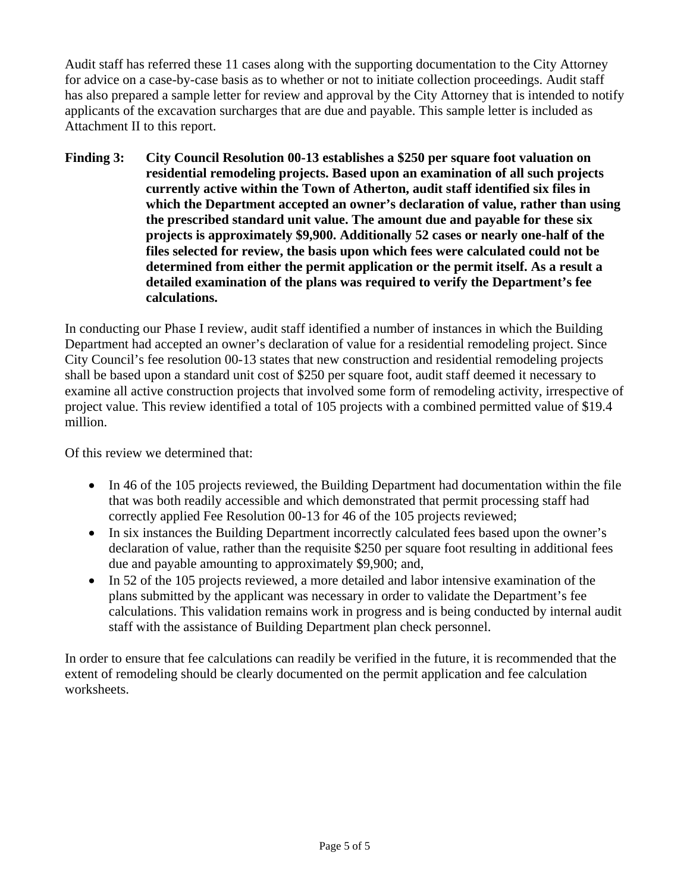Audit staff has referred these 11 cases along with the supporting documentation to the City Attorney for advice on a case-by-case basis as to whether or not to initiate collection proceedings. Audit staff has also prepared a sample letter for review and approval by the City Attorney that is intended to notify applicants of the excavation surcharges that are due and payable. This sample letter is included as Attachment II to this report.

**Finding 3: City Council Resolution 00-13 establishes a \$250 per square foot valuation on residential remodeling projects. Based upon an examination of all such projects currently active within the Town of Atherton, audit staff identified six files in which the Department accepted an owner's declaration of value, rather than using the prescribed standard unit value. The amount due and payable for these six projects is approximately \$9,900. Additionally 52 cases or nearly one-half of the files selected for review, the basis upon which fees were calculated could not be determined from either the permit application or the permit itself. As a result a detailed examination of the plans was required to verify the Department's fee calculations.** 

In conducting our Phase I review, audit staff identified a number of instances in which the Building Department had accepted an owner's declaration of value for a residential remodeling project. Since City Council's fee resolution 00-13 states that new construction and residential remodeling projects shall be based upon a standard unit cost of \$250 per square foot, audit staff deemed it necessary to examine all active construction projects that involved some form of remodeling activity, irrespective of project value. This review identified a total of 105 projects with a combined permitted value of \$19.4 million.

Of this review we determined that:

- In 46 of the 105 projects reviewed, the Building Department had documentation within the file that was both readily accessible and which demonstrated that permit processing staff had correctly applied Fee Resolution 00-13 for 46 of the 105 projects reviewed;
- In six instances the Building Department incorrectly calculated fees based upon the owner's declaration of value, rather than the requisite \$250 per square foot resulting in additional fees due and payable amounting to approximately \$9,900; and,
- In 52 of the 105 projects reviewed, a more detailed and labor intensive examination of the plans submitted by the applicant was necessary in order to validate the Department's fee calculations. This validation remains work in progress and is being conducted by internal audit staff with the assistance of Building Department plan check personnel.

In order to ensure that fee calculations can readily be verified in the future, it is recommended that the extent of remodeling should be clearly documented on the permit application and fee calculation worksheets.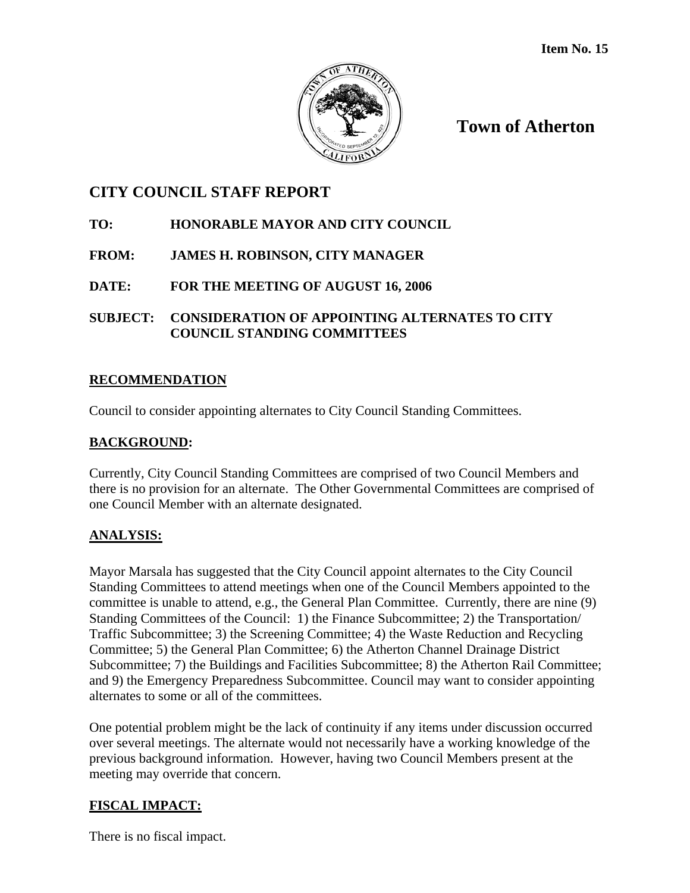

**Town of Atherton**

# **CITY COUNCIL STAFF REPORT**

## **TO: HONORABLE MAYOR AND CITY COUNCIL**

## **FROM: JAMES H. ROBINSON, CITY MANAGER**

**DATE: FOR THE MEETING OF AUGUST 16, 2006**

## **SUBJECT: CONSIDERATION OF APPOINTING ALTERNATES TO CITY COUNCIL STANDING COMMITTEES**

## **RECOMMENDATION**

Council to consider appointing alternates to City Council Standing Committees.

## **BACKGROUND:**

Currently, City Council Standing Committees are comprised of two Council Members and there is no provision for an alternate. The Other Governmental Committees are comprised of one Council Member with an alternate designated.

## **ANALYSIS:**

Mayor Marsala has suggested that the City Council appoint alternates to the City Council Standing Committees to attend meetings when one of the Council Members appointed to the committee is unable to attend, e.g., the General Plan Committee. Currently, there are nine (9) Standing Committees of the Council: 1) the Finance Subcommittee; 2) the Transportation/ Traffic Subcommittee; 3) the Screening Committee; 4) the Waste Reduction and Recycling Committee; 5) the General Plan Committee; 6) the Atherton Channel Drainage District Subcommittee; 7) the Buildings and Facilities Subcommittee; 8) the Atherton Rail Committee; and 9) the Emergency Preparedness Subcommittee. Council may want to consider appointing alternates to some or all of the committees.

One potential problem might be the lack of continuity if any items under discussion occurred over several meetings. The alternate would not necessarily have a working knowledge of the previous background information. However, having two Council Members present at the meeting may override that concern.

## **FISCAL IMPACT:**

There is no fiscal impact.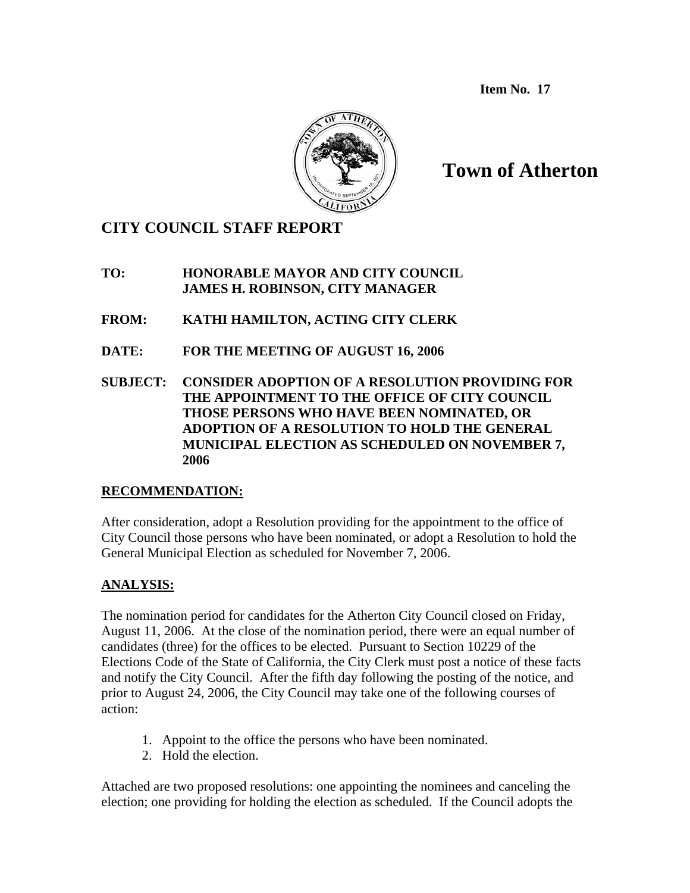**Item No. 17**



# **Town of Atherton**

# **CITY COUNCIL STAFF REPORT**

## **TO: HONORABLE MAYOR AND CITY COUNCIL JAMES H. ROBINSON, CITY MANAGER**

**FROM: KATHI HAMILTON, ACTING CITY CLERK** 

- **DATE: FOR THE MEETING OF AUGUST 16, 2006**
- **SUBJECT: CONSIDER ADOPTION OF A RESOLUTION PROVIDING FOR THE APPOINTMENT TO THE OFFICE OF CITY COUNCIL THOSE PERSONS WHO HAVE BEEN NOMINATED, OR ADOPTION OF A RESOLUTION TO HOLD THE GENERAL MUNICIPAL ELECTION AS SCHEDULED ON NOVEMBER 7, 2006**

## **RECOMMENDATION:**

After consideration, adopt a Resolution providing for the appointment to the office of City Council those persons who have been nominated, or adopt a Resolution to hold the General Municipal Election as scheduled for November 7, 2006.

## **ANALYSIS:**

The nomination period for candidates for the Atherton City Council closed on Friday, August 11, 2006. At the close of the nomination period, there were an equal number of candidates (three) for the offices to be elected. Pursuant to Section 10229 of the Elections Code of the State of California, the City Clerk must post a notice of these facts and notify the City Council. After the fifth day following the posting of the notice, and prior to August 24, 2006, the City Council may take one of the following courses of action:

- 1. Appoint to the office the persons who have been nominated.
- 2. Hold the election.

Attached are two proposed resolutions: one appointing the nominees and canceling the election; one providing for holding the election as scheduled. If the Council adopts the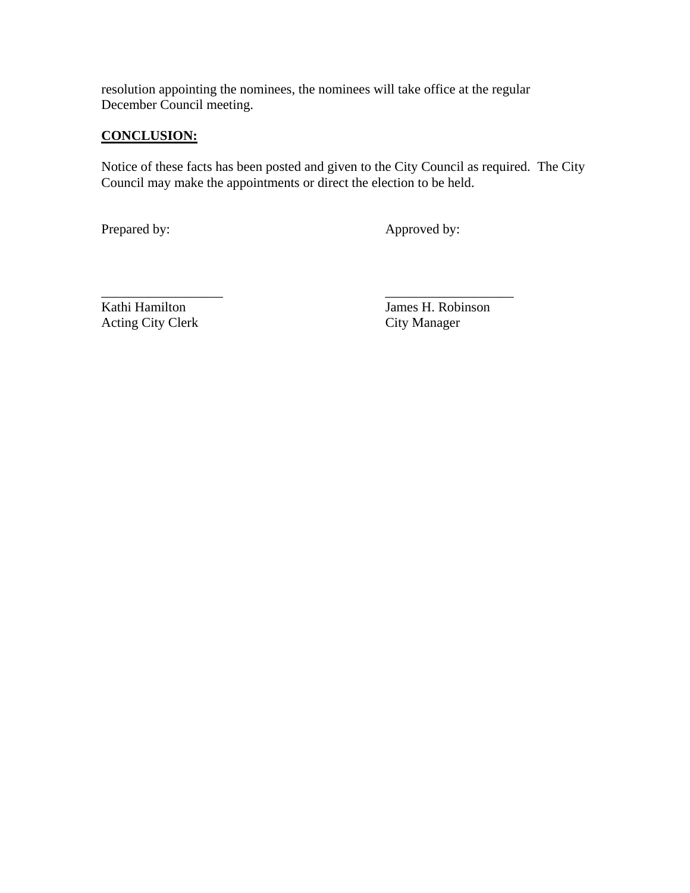resolution appointing the nominees, the nominees will take office at the regular December Council meeting.

## **CONCLUSION:**

Notice of these facts has been posted and given to the City Council as required. The City Council may make the appointments or direct the election to be held.

Prepared by: Approved by:

Acting City Clerk City Manager

\_\_\_\_\_\_\_\_\_\_\_\_\_\_\_\_\_\_ \_\_\_\_\_\_\_\_\_\_\_\_\_\_\_\_\_\_\_ Kathi Hamilton James H. Robinson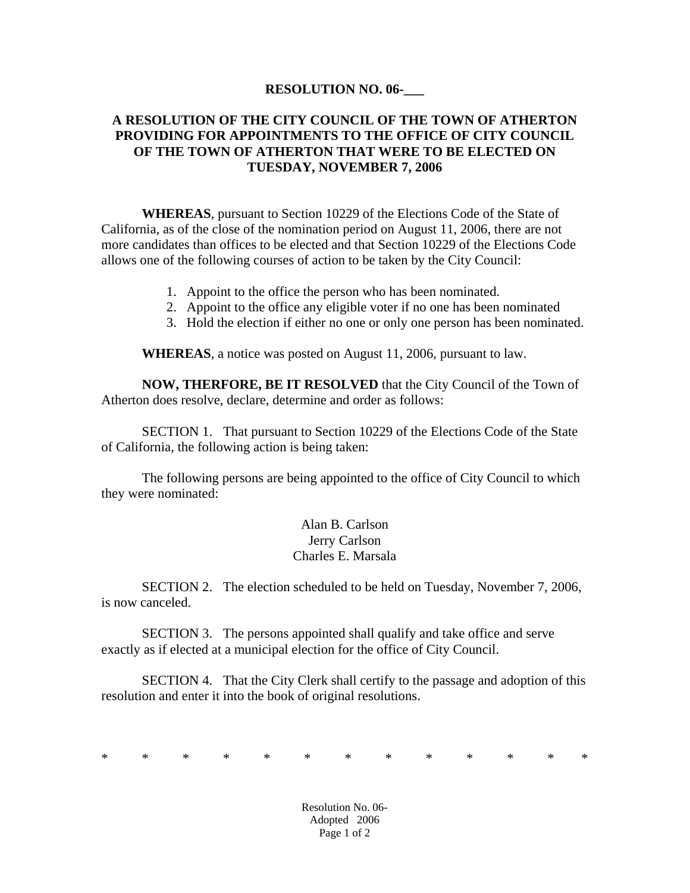#### **RESOLUTION NO. 06-\_\_\_**

#### **A RESOLUTION OF THE CITY COUNCIL OF THE TOWN OF ATHERTON PROVIDING FOR APPOINTMENTS TO THE OFFICE OF CITY COUNCIL OF THE TOWN OF ATHERTON THAT WERE TO BE ELECTED ON TUESDAY, NOVEMBER 7, 2006**

**WHEREAS**, pursuant to Section 10229 of the Elections Code of the State of California, as of the close of the nomination period on August 11, 2006, there are not more candidates than offices to be elected and that Section 10229 of the Elections Code allows one of the following courses of action to be taken by the City Council:

- 1. Appoint to the office the person who has been nominated.
- 2. Appoint to the office any eligible voter if no one has been nominated
- 3. Hold the election if either no one or only one person has been nominated.

**WHEREAS**, a notice was posted on August 11, 2006, pursuant to law.

**NOW, THERFORE, BE IT RESOLVED** that the City Council of the Town of Atherton does resolve, declare, determine and order as follows:

 SECTION 1. That pursuant to Section 10229 of the Elections Code of the State of California, the following action is being taken:

 The following persons are being appointed to the office of City Council to which they were nominated:

> Alan B. Carlson Jerry Carlson Charles E. Marsala

 SECTION 2. The election scheduled to be held on Tuesday, November 7, 2006, is now canceled.

 SECTION 3. The persons appointed shall qualify and take office and serve exactly as if elected at a municipal election for the office of City Council.

 SECTION 4. That the City Clerk shall certify to the passage and adoption of this resolution and enter it into the book of original resolutions.

\* \* \* \* \* \* \* \* \* \* \* \* \*

Resolution No. 06- Adopted 2006 Page 1 of 2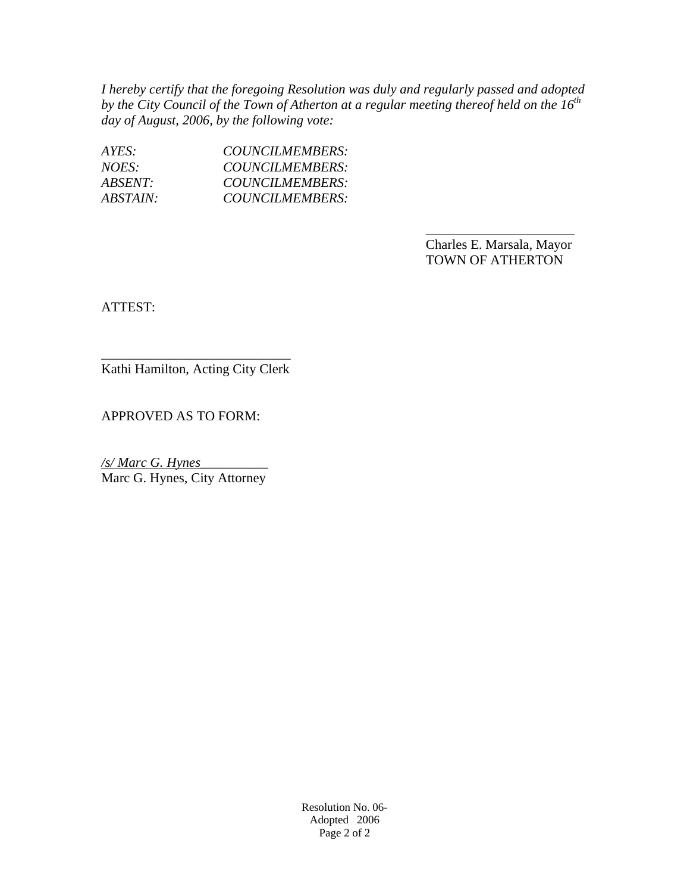*I hereby certify that the foregoing Resolution was duly and regularly passed and adopted*  by the City Council of the Town of Atherton at a regular meeting thereof held on the 16<sup>th</sup> *day of August, 2006, by the following vote:* 

 $\overline{\phantom{a}}$  , and the contract of the contract of the contract of the contract of the contract of the contract of the contract of the contract of the contract of the contract of the contract of the contract of the contrac

| AYES:           | COUNCILMEMBERS: |
|-----------------|-----------------|
| NOES:           | COUNCILMEMBERS: |
| ABSENT:         | COUNCILMEMBERS: |
| <i>ABSTAIN:</i> | COUNCILMEMBERS: |

 Charles E. Marsala, Mayor TOWN OF ATHERTON

ATTEST:

\_\_\_\_\_\_\_\_\_\_\_\_\_\_\_\_\_\_\_\_\_\_\_\_\_\_\_\_ Kathi Hamilton, Acting City Clerk

APPROVED AS TO FORM:

*/s/ Marc G. Hynes\_\_\_\_\_\_\_\_\_\_*  Marc G. Hynes, City Attorney

> Resolution No. 06- Adopted 2006 Page 2 of 2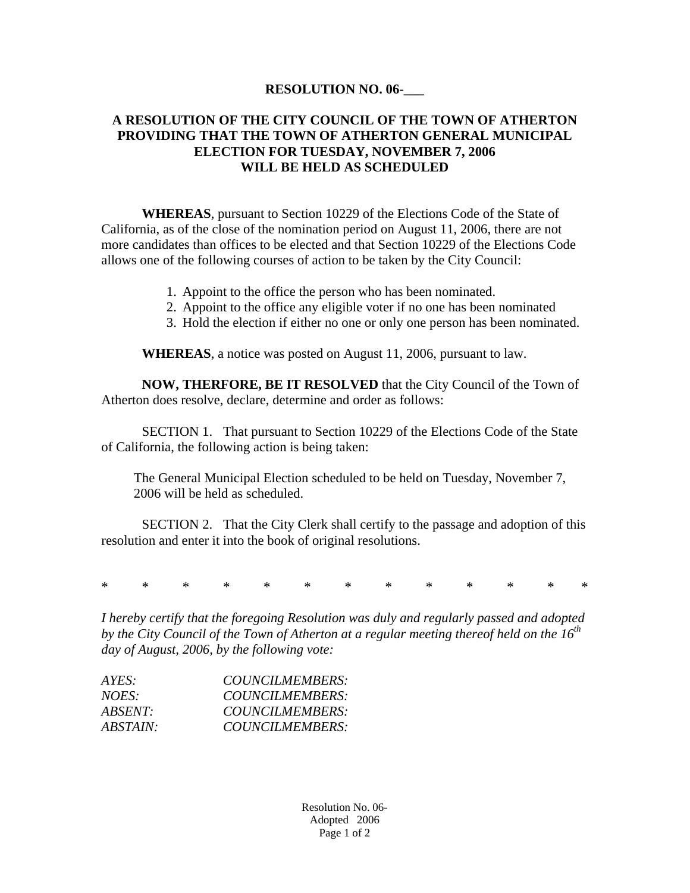#### **RESOLUTION NO. 06-\_\_\_**

#### **A RESOLUTION OF THE CITY COUNCIL OF THE TOWN OF ATHERTON PROVIDING THAT THE TOWN OF ATHERTON GENERAL MUNICIPAL ELECTION FOR TUESDAY, NOVEMBER 7, 2006 WILL BE HELD AS SCHEDULED**

**WHEREAS**, pursuant to Section 10229 of the Elections Code of the State of California, as of the close of the nomination period on August 11, 2006, there are not more candidates than offices to be elected and that Section 10229 of the Elections Code allows one of the following courses of action to be taken by the City Council:

- 1. Appoint to the office the person who has been nominated.
- 2. Appoint to the office any eligible voter if no one has been nominated
- 3. Hold the election if either no one or only one person has been nominated.

**WHEREAS**, a notice was posted on August 11, 2006, pursuant to law.

**NOW, THERFORE, BE IT RESOLVED** that the City Council of the Town of Atherton does resolve, declare, determine and order as follows:

 SECTION 1. That pursuant to Section 10229 of the Elections Code of the State of California, the following action is being taken:

The General Municipal Election scheduled to be held on Tuesday, November 7, 2006 will be held as scheduled.

 SECTION 2. That the City Clerk shall certify to the passage and adoption of this resolution and enter it into the book of original resolutions.

\* \* \* \* \* \* \* \* \* \* \* \* \*

*I hereby certify that the foregoing Resolution was duly and regularly passed and adopted by the City Council of the Town of Atherton at a regular meeting thereof held on the 16th day of August, 2006, by the following vote:* 

| AYES:           | COUNCILMEMBERS: |
|-----------------|-----------------|
| NOES:           | COUNCILMEMBERS: |
| <i>ABSENT:</i>  | COUNCILMEMBERS: |
| <i>ABSTAIN:</i> | COUNCILMEMBERS: |
|                 |                 |

Resolution No. 06- Adopted 2006 Page 1 of 2